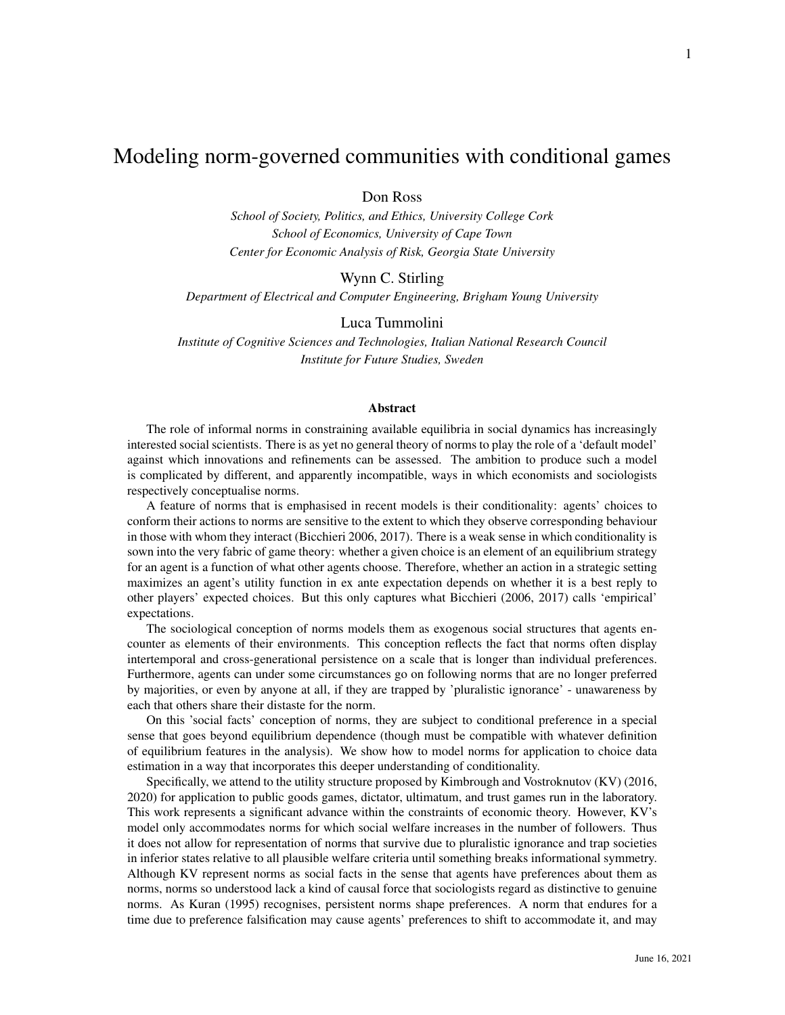# Modeling norm-governed communities with conditional games

Don Ross

*School of Society, Politics, and Ethics, University College Cork School of Economics, University of Cape Town Center for Economic Analysis of Risk, Georgia State University*

Wynn C. Stirling

*Department of Electrical and Computer Engineering, Brigham Young University*

#### Luca Tummolini

*Institute of Cognitive Sciences and Technologies, Italian National Research Council Institute for Future Studies, Sweden*

#### Abstract

The role of informal norms in constraining available equilibria in social dynamics has increasingly interested social scientists. There is as yet no general theory of norms to play the role of a 'default model' against which innovations and refinements can be assessed. The ambition to produce such a model is complicated by different, and apparently incompatible, ways in which economists and sociologists respectively conceptualise norms.

A feature of norms that is emphasised in recent models is their conditionality: agents' choices to conform their actions to norms are sensitive to the extent to which they observe corresponding behaviour in those with whom they interact (Bicchieri 2006, 2017). There is a weak sense in which conditionality is sown into the very fabric of game theory: whether a given choice is an element of an equilibrium strategy for an agent is a function of what other agents choose. Therefore, whether an action in a strategic setting maximizes an agent's utility function in ex ante expectation depends on whether it is a best reply to other players' expected choices. But this only captures what Bicchieri (2006, 2017) calls 'empirical' expectations.

The sociological conception of norms models them as exogenous social structures that agents encounter as elements of their environments. This conception reflects the fact that norms often display intertemporal and cross-generational persistence on a scale that is longer than individual preferences. Furthermore, agents can under some circumstances go on following norms that are no longer preferred by majorities, or even by anyone at all, if they are trapped by 'pluralistic ignorance' - unawareness by each that others share their distaste for the norm.

On this 'social facts' conception of norms, they are subject to conditional preference in a special sense that goes beyond equilibrium dependence (though must be compatible with whatever definition of equilibrium features in the analysis). We show how to model norms for application to choice data estimation in a way that incorporates this deeper understanding of conditionality.

Specifically, we attend to the utility structure proposed by Kimbrough and Vostroknutov (KV) (2016, 2020) for application to public goods games, dictator, ultimatum, and trust games run in the laboratory. This work represents a significant advance within the constraints of economic theory. However, KV's model only accommodates norms for which social welfare increases in the number of followers. Thus it does not allow for representation of norms that survive due to pluralistic ignorance and trap societies in inferior states relative to all plausible welfare criteria until something breaks informational symmetry. Although KV represent norms as social facts in the sense that agents have preferences about them as norms, norms so understood lack a kind of causal force that sociologists regard as distinctive to genuine norms. As Kuran (1995) recognises, persistent norms shape preferences. A norm that endures for a time due to preference falsification may cause agents' preferences to shift to accommodate it, and may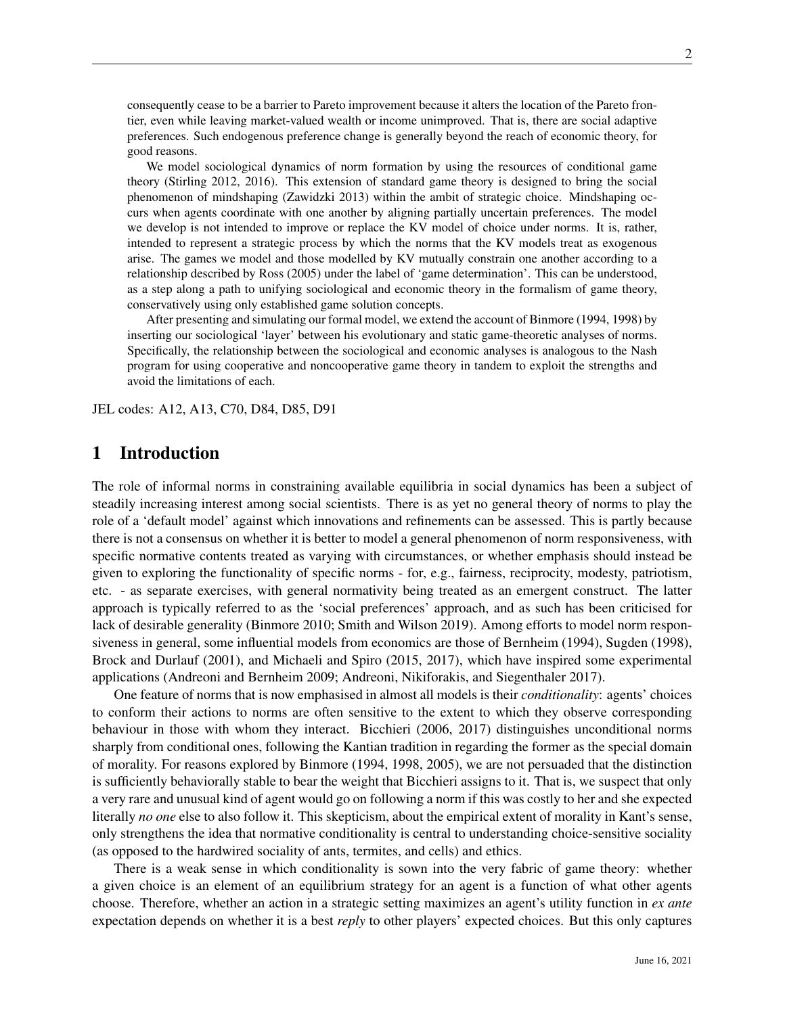consequently cease to be a barrier to Pareto improvement because it alters the location of the Pareto frontier, even while leaving market-valued wealth or income unimproved. That is, there are social adaptive preferences. Such endogenous preference change is generally beyond the reach of economic theory, for good reasons.

We model sociological dynamics of norm formation by using the resources of conditional game theory (Stirling 2012, 2016). This extension of standard game theory is designed to bring the social phenomenon of mindshaping (Zawidzki 2013) within the ambit of strategic choice. Mindshaping occurs when agents coordinate with one another by aligning partially uncertain preferences. The model we develop is not intended to improve or replace the KV model of choice under norms. It is, rather, intended to represent a strategic process by which the norms that the KV models treat as exogenous arise. The games we model and those modelled by KV mutually constrain one another according to a relationship described by Ross (2005) under the label of 'game determination'. This can be understood, as a step along a path to unifying sociological and economic theory in the formalism of game theory, conservatively using only established game solution concepts.

After presenting and simulating our formal model, we extend the account of Binmore (1994, 1998) by inserting our sociological 'layer' between his evolutionary and static game-theoretic analyses of norms. Specifically, the relationship between the sociological and economic analyses is analogous to the Nash program for using cooperative and noncooperative game theory in tandem to exploit the strengths and avoid the limitations of each.

JEL codes: A12, A13, C70, D84, D85, D91

### 1 Introduction

The role of informal norms in constraining available equilibria in social dynamics has been a subject of steadily increasing interest among social scientists. There is as yet no general theory of norms to play the role of a 'default model' against which innovations and refinements can be assessed. This is partly because there is not a consensus on whether it is better to model a general phenomenon of norm responsiveness, with specific normative contents treated as varying with circumstances, or whether emphasis should instead be given to exploring the functionality of specific norms - for, e.g., fairness, reciprocity, modesty, patriotism, etc. - as separate exercises, with general normativity being treated as an emergent construct. The latter approach is typically referred to as the 'social preferences' approach, and as such has been criticised for lack of desirable generality (Binmore 2010; Smith and Wilson 2019). Among efforts to model norm responsiveness in general, some influential models from economics are those of Bernheim (1994), Sugden (1998), Brock and Durlauf (2001), and Michaeli and Spiro (2015, 2017), which have inspired some experimental applications (Andreoni and Bernheim 2009; Andreoni, Nikiforakis, and Siegenthaler 2017).

One feature of norms that is now emphasised in almost all models is their *conditionality*: agents' choices to conform their actions to norms are often sensitive to the extent to which they observe corresponding behaviour in those with whom they interact. Bicchieri (2006, 2017) distinguishes unconditional norms sharply from conditional ones, following the Kantian tradition in regarding the former as the special domain of morality. For reasons explored by Binmore (1994, 1998, 2005), we are not persuaded that the distinction is sufficiently behaviorally stable to bear the weight that Bicchieri assigns to it. That is, we suspect that only a very rare and unusual kind of agent would go on following a norm if this was costly to her and she expected literally *no one* else to also follow it. This skepticism, about the empirical extent of morality in Kant's sense, only strengthens the idea that normative conditionality is central to understanding choice-sensitive sociality (as opposed to the hardwired sociality of ants, termites, and cells) and ethics.

There is a weak sense in which conditionality is sown into the very fabric of game theory: whether a given choice is an element of an equilibrium strategy for an agent is a function of what other agents choose. Therefore, whether an action in a strategic setting maximizes an agent's utility function in *ex ante* expectation depends on whether it is a best *reply* to other players' expected choices. But this only captures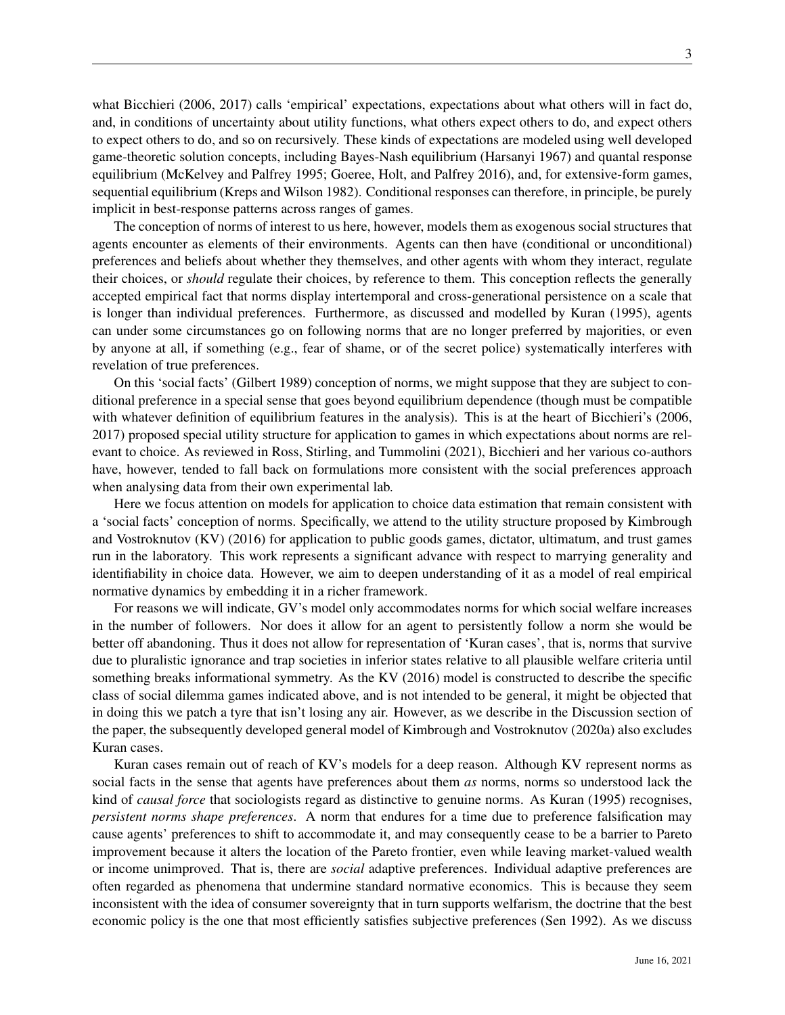what Bicchieri (2006, 2017) calls 'empirical' expectations, expectations about what others will in fact do, and, in conditions of uncertainty about utility functions, what others expect others to do, and expect others to expect others to do, and so on recursively. These kinds of expectations are modeled using well developed game-theoretic solution concepts, including Bayes-Nash equilibrium (Harsanyi 1967) and quantal response equilibrium (McKelvey and Palfrey 1995; Goeree, Holt, and Palfrey 2016), and, for extensive-form games, sequential equilibrium (Kreps and Wilson 1982). Conditional responses can therefore, in principle, be purely implicit in best-response patterns across ranges of games.

The conception of norms of interest to us here, however, models them as exogenous social structures that agents encounter as elements of their environments. Agents can then have (conditional or unconditional) preferences and beliefs about whether they themselves, and other agents with whom they interact, regulate their choices, or *should* regulate their choices, by reference to them. This conception reflects the generally accepted empirical fact that norms display intertemporal and cross-generational persistence on a scale that is longer than individual preferences. Furthermore, as discussed and modelled by Kuran (1995), agents can under some circumstances go on following norms that are no longer preferred by majorities, or even by anyone at all, if something (e.g., fear of shame, or of the secret police) systematically interferes with revelation of true preferences.

On this 'social facts' (Gilbert 1989) conception of norms, we might suppose that they are subject to conditional preference in a special sense that goes beyond equilibrium dependence (though must be compatible with whatever definition of equilibrium features in the analysis). This is at the heart of Bicchieri's (2006, 2017) proposed special utility structure for application to games in which expectations about norms are relevant to choice. As reviewed in Ross, Stirling, and Tummolini (2021), Bicchieri and her various co-authors have, however, tended to fall back on formulations more consistent with the social preferences approach when analysing data from their own experimental lab.

Here we focus attention on models for application to choice data estimation that remain consistent with a 'social facts' conception of norms. Specifically, we attend to the utility structure proposed by Kimbrough and Vostroknutov (KV) (2016) for application to public goods games, dictator, ultimatum, and trust games run in the laboratory. This work represents a significant advance with respect to marrying generality and identifiability in choice data. However, we aim to deepen understanding of it as a model of real empirical normative dynamics by embedding it in a richer framework.

For reasons we will indicate, GV's model only accommodates norms for which social welfare increases in the number of followers. Nor does it allow for an agent to persistently follow a norm she would be better off abandoning. Thus it does not allow for representation of 'Kuran cases', that is, norms that survive due to pluralistic ignorance and trap societies in inferior states relative to all plausible welfare criteria until something breaks informational symmetry. As the KV (2016) model is constructed to describe the specific class of social dilemma games indicated above, and is not intended to be general, it might be objected that in doing this we patch a tyre that isn't losing any air. However, as we describe in the Discussion section of the paper, the subsequently developed general model of Kimbrough and Vostroknutov (2020a) also excludes Kuran cases.

Kuran cases remain out of reach of KV's models for a deep reason. Although KV represent norms as social facts in the sense that agents have preferences about them *as* norms, norms so understood lack the kind of *causal force* that sociologists regard as distinctive to genuine norms. As Kuran (1995) recognises, *persistent norms shape preferences*. A norm that endures for a time due to preference falsification may cause agents' preferences to shift to accommodate it, and may consequently cease to be a barrier to Pareto improvement because it alters the location of the Pareto frontier, even while leaving market-valued wealth or income unimproved. That is, there are *social* adaptive preferences. Individual adaptive preferences are often regarded as phenomena that undermine standard normative economics. This is because they seem inconsistent with the idea of consumer sovereignty that in turn supports welfarism, the doctrine that the best economic policy is the one that most efficiently satisfies subjective preferences (Sen 1992). As we discuss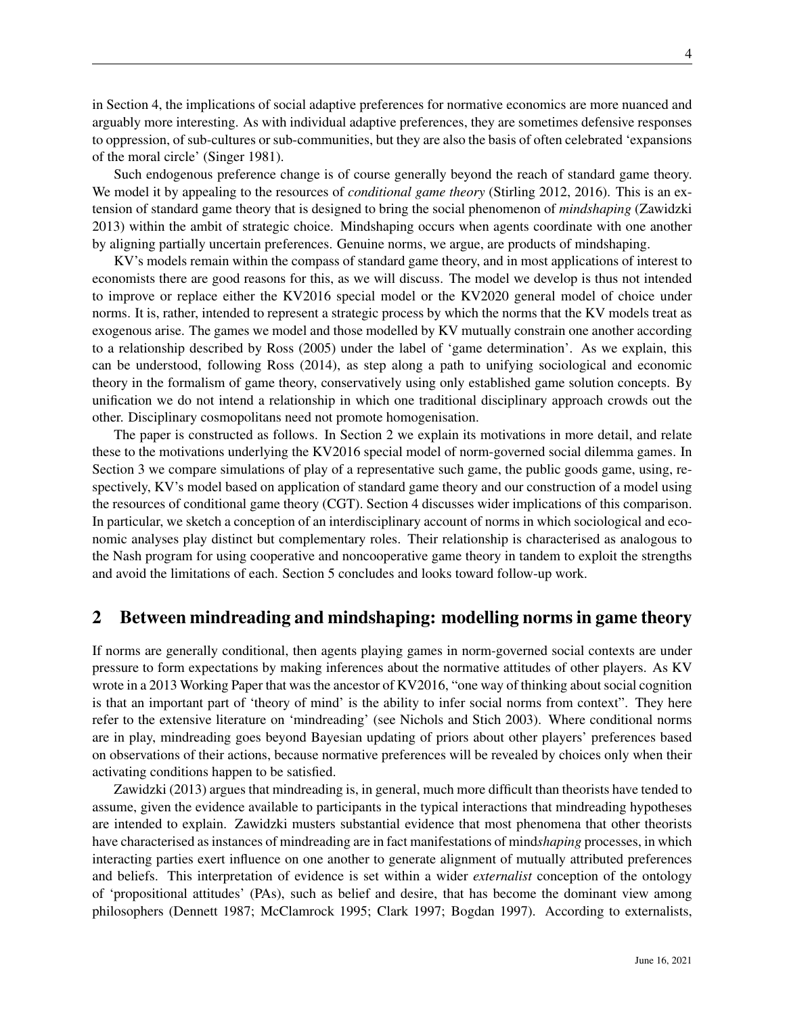in Section 4, the implications of social adaptive preferences for normative economics are more nuanced and arguably more interesting. As with individual adaptive preferences, they are sometimes defensive responses to oppression, of sub-cultures or sub-communities, but they are also the basis of often celebrated 'expansions of the moral circle' (Singer 1981).

Such endogenous preference change is of course generally beyond the reach of standard game theory. We model it by appealing to the resources of *conditional game theory* (Stirling 2012, 2016). This is an extension of standard game theory that is designed to bring the social phenomenon of *mindshaping* (Zawidzki 2013) within the ambit of strategic choice. Mindshaping occurs when agents coordinate with one another by aligning partially uncertain preferences. Genuine norms, we argue, are products of mindshaping.

KV's models remain within the compass of standard game theory, and in most applications of interest to economists there are good reasons for this, as we will discuss. The model we develop is thus not intended to improve or replace either the KV2016 special model or the KV2020 general model of choice under norms. It is, rather, intended to represent a strategic process by which the norms that the KV models treat as exogenous arise. The games we model and those modelled by KV mutually constrain one another according to a relationship described by Ross (2005) under the label of 'game determination'. As we explain, this can be understood, following Ross (2014), as step along a path to unifying sociological and economic theory in the formalism of game theory, conservatively using only established game solution concepts. By unification we do not intend a relationship in which one traditional disciplinary approach crowds out the other. Disciplinary cosmopolitans need not promote homogenisation.

The paper is constructed as follows. In Section 2 we explain its motivations in more detail, and relate these to the motivations underlying the KV2016 special model of norm-governed social dilemma games. In Section 3 we compare simulations of play of a representative such game, the public goods game, using, respectively, KV's model based on application of standard game theory and our construction of a model using the resources of conditional game theory (CGT). Section 4 discusses wider implications of this comparison. In particular, we sketch a conception of an interdisciplinary account of norms in which sociological and economic analyses play distinct but complementary roles. Their relationship is characterised as analogous to the Nash program for using cooperative and noncooperative game theory in tandem to exploit the strengths and avoid the limitations of each. Section 5 concludes and looks toward follow-up work.

### 2 Between mindreading and mindshaping: modelling norms in game theory

If norms are generally conditional, then agents playing games in norm-governed social contexts are under pressure to form expectations by making inferences about the normative attitudes of other players. As KV wrote in a 2013 Working Paper that was the ancestor of KV2016, "one way of thinking about social cognition is that an important part of 'theory of mind' is the ability to infer social norms from context". They here refer to the extensive literature on 'mindreading' (see Nichols and Stich 2003). Where conditional norms are in play, mindreading goes beyond Bayesian updating of priors about other players' preferences based on observations of their actions, because normative preferences will be revealed by choices only when their activating conditions happen to be satisfied.

Zawidzki (2013) argues that mindreading is, in general, much more difficult than theorists have tended to assume, given the evidence available to participants in the typical interactions that mindreading hypotheses are intended to explain. Zawidzki musters substantial evidence that most phenomena that other theorists have characterised as instances of mindreading are in fact manifestations of mind*shaping* processes, in which interacting parties exert influence on one another to generate alignment of mutually attributed preferences and beliefs. This interpretation of evidence is set within a wider *externalist* conception of the ontology of 'propositional attitudes' (PAs), such as belief and desire, that has become the dominant view among philosophers (Dennett 1987; McClamrock 1995; Clark 1997; Bogdan 1997). According to externalists,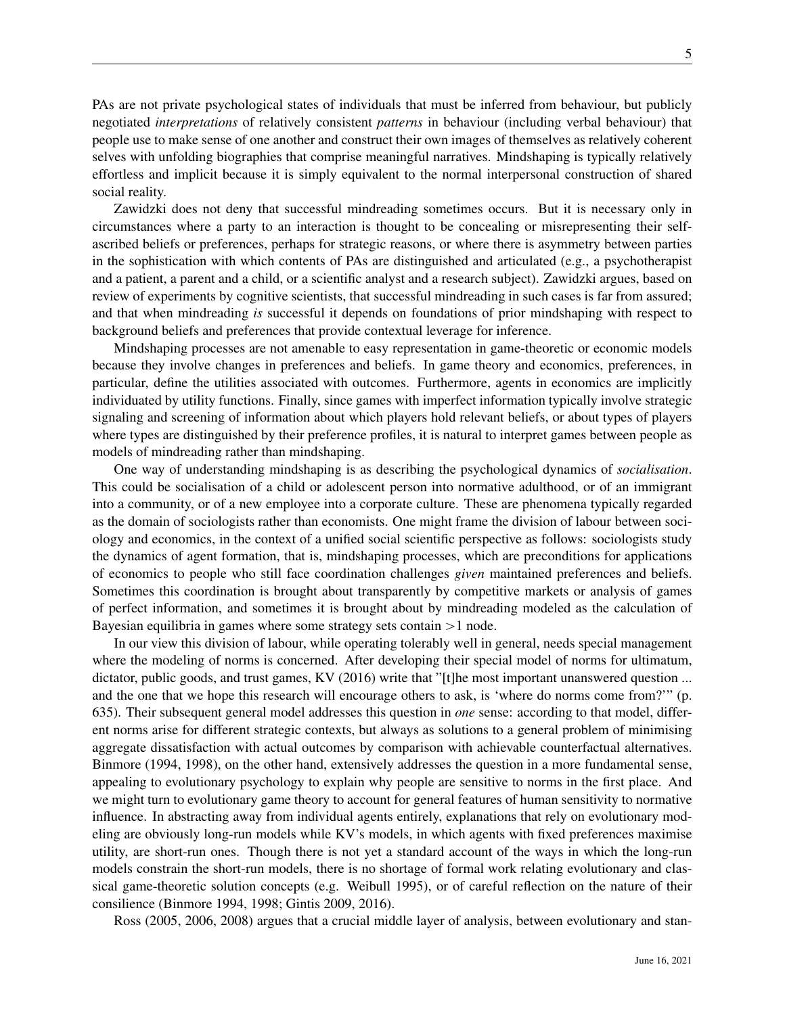PAs are not private psychological states of individuals that must be inferred from behaviour, but publicly negotiated *interpretations* of relatively consistent *patterns* in behaviour (including verbal behaviour) that people use to make sense of one another and construct their own images of themselves as relatively coherent selves with unfolding biographies that comprise meaningful narratives. Mindshaping is typically relatively effortless and implicit because it is simply equivalent to the normal interpersonal construction of shared social reality.

Zawidzki does not deny that successful mindreading sometimes occurs. But it is necessary only in circumstances where a party to an interaction is thought to be concealing or misrepresenting their selfascribed beliefs or preferences, perhaps for strategic reasons, or where there is asymmetry between parties in the sophistication with which contents of PAs are distinguished and articulated (e.g., a psychotherapist and a patient, a parent and a child, or a scientific analyst and a research subject). Zawidzki argues, based on review of experiments by cognitive scientists, that successful mindreading in such cases is far from assured; and that when mindreading *is* successful it depends on foundations of prior mindshaping with respect to background beliefs and preferences that provide contextual leverage for inference.

Mindshaping processes are not amenable to easy representation in game-theoretic or economic models because they involve changes in preferences and beliefs. In game theory and economics, preferences, in particular, define the utilities associated with outcomes. Furthermore, agents in economics are implicitly individuated by utility functions. Finally, since games with imperfect information typically involve strategic signaling and screening of information about which players hold relevant beliefs, or about types of players where types are distinguished by their preference profiles, it is natural to interpret games between people as models of mindreading rather than mindshaping.

One way of understanding mindshaping is as describing the psychological dynamics of *socialisation*. This could be socialisation of a child or adolescent person into normative adulthood, or of an immigrant into a community, or of a new employee into a corporate culture. These are phenomena typically regarded as the domain of sociologists rather than economists. One might frame the division of labour between sociology and economics, in the context of a unified social scientific perspective as follows: sociologists study the dynamics of agent formation, that is, mindshaping processes, which are preconditions for applications of economics to people who still face coordination challenges *given* maintained preferences and beliefs. Sometimes this coordination is brought about transparently by competitive markets or analysis of games of perfect information, and sometimes it is brought about by mindreading modeled as the calculation of Bayesian equilibria in games where some strategy sets contain  $>1$  node.

In our view this division of labour, while operating tolerably well in general, needs special management where the modeling of norms is concerned. After developing their special model of norms for ultimatum, dictator, public goods, and trust games, KV (2016) write that "[t]he most important unanswered question ... and the one that we hope this research will encourage others to ask, is 'where do norms come from?'" (p. 635). Their subsequent general model addresses this question in *one* sense: according to that model, different norms arise for different strategic contexts, but always as solutions to a general problem of minimising aggregate dissatisfaction with actual outcomes by comparison with achievable counterfactual alternatives. Binmore (1994, 1998), on the other hand, extensively addresses the question in a more fundamental sense, appealing to evolutionary psychology to explain why people are sensitive to norms in the first place. And we might turn to evolutionary game theory to account for general features of human sensitivity to normative influence. In abstracting away from individual agents entirely, explanations that rely on evolutionary modeling are obviously long-run models while KV's models, in which agents with fixed preferences maximise utility, are short-run ones. Though there is not yet a standard account of the ways in which the long-run models constrain the short-run models, there is no shortage of formal work relating evolutionary and classical game-theoretic solution concepts (e.g. Weibull 1995), or of careful reflection on the nature of their consilience (Binmore 1994, 1998; Gintis 2009, 2016).

Ross (2005, 2006, 2008) argues that a crucial middle layer of analysis, between evolutionary and stan-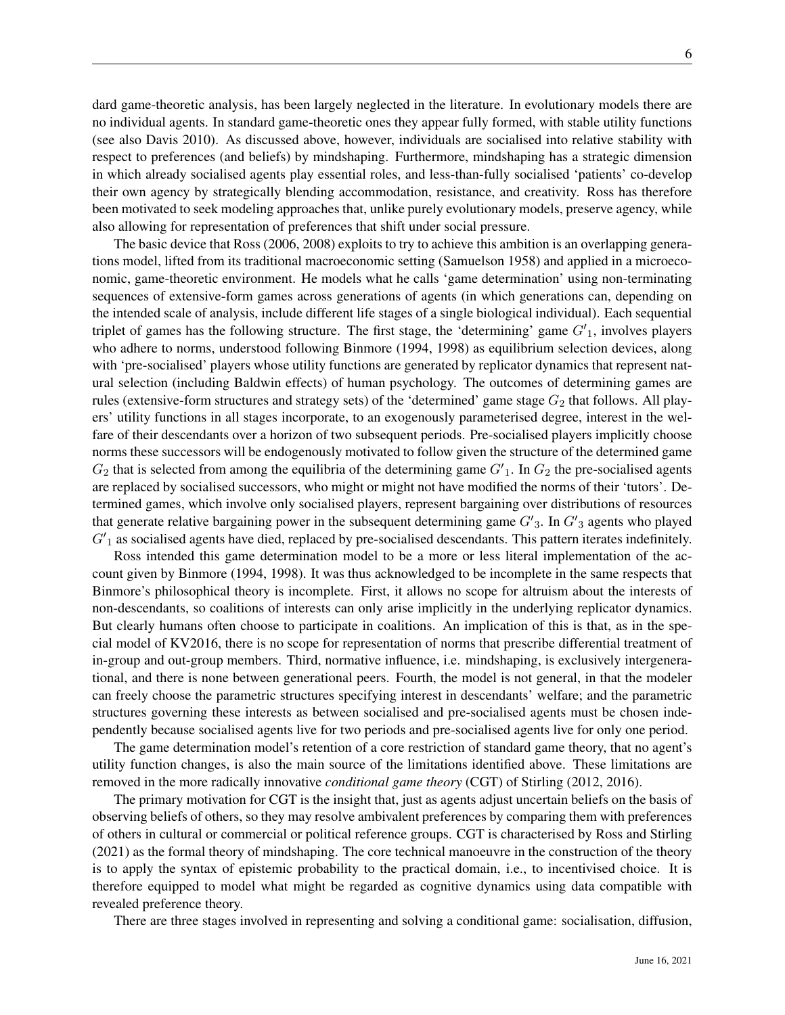6

dard game-theoretic analysis, has been largely neglected in the literature. In evolutionary models there are no individual agents. In standard game-theoretic ones they appear fully formed, with stable utility functions (see also Davis 2010). As discussed above, however, individuals are socialised into relative stability with respect to preferences (and beliefs) by mindshaping. Furthermore, mindshaping has a strategic dimension in which already socialised agents play essential roles, and less-than-fully socialised 'patients' co-develop their own agency by strategically blending accommodation, resistance, and creativity. Ross has therefore been motivated to seek modeling approaches that, unlike purely evolutionary models, preserve agency, while also allowing for representation of preferences that shift under social pressure.

The basic device that Ross (2006, 2008) exploits to try to achieve this ambition is an overlapping generations model, lifted from its traditional macroeconomic setting (Samuelson 1958) and applied in a microeconomic, game-theoretic environment. He models what he calls 'game determination' using non-terminating sequences of extensive-form games across generations of agents (in which generations can, depending on the intended scale of analysis, include different life stages of a single biological individual). Each sequential triplet of games has the following structure. The first stage, the 'determining' game  $G'_{1}$ , involves players who adhere to norms, understood following Binmore (1994, 1998) as equilibrium selection devices, along with 'pre-socialised' players whose utility functions are generated by replicator dynamics that represent natural selection (including Baldwin effects) of human psychology. The outcomes of determining games are rules (extensive-form structures and strategy sets) of the 'determined' game stage  $G_2$  that follows. All players' utility functions in all stages incorporate, to an exogenously parameterised degree, interest in the welfare of their descendants over a horizon of two subsequent periods. Pre-socialised players implicitly choose norms these successors will be endogenously motivated to follow given the structure of the determined game  $G_2$  that is selected from among the equilibria of the determining game  $G'_{1}$ . In  $G_2$  the pre-socialised agents are replaced by socialised successors, who might or might not have modified the norms of their 'tutors'. Determined games, which involve only socialised players, represent bargaining over distributions of resources that generate relative bargaining power in the subsequent determining game  $G'_{3}$ . In  $G'_{3}$  agents who played  $G'_{1}$  as socialised agents have died, replaced by pre-socialised descendants. This pattern iterates indefinitely.

Ross intended this game determination model to be a more or less literal implementation of the account given by Binmore (1994, 1998). It was thus acknowledged to be incomplete in the same respects that Binmore's philosophical theory is incomplete. First, it allows no scope for altruism about the interests of non-descendants, so coalitions of interests can only arise implicitly in the underlying replicator dynamics. But clearly humans often choose to participate in coalitions. An implication of this is that, as in the special model of KV2016, there is no scope for representation of norms that prescribe differential treatment of in-group and out-group members. Third, normative influence, i.e. mindshaping, is exclusively intergenerational, and there is none between generational peers. Fourth, the model is not general, in that the modeler can freely choose the parametric structures specifying interest in descendants' welfare; and the parametric structures governing these interests as between socialised and pre-socialised agents must be chosen independently because socialised agents live for two periods and pre-socialised agents live for only one period.

The game determination model's retention of a core restriction of standard game theory, that no agent's utility function changes, is also the main source of the limitations identified above. These limitations are removed in the more radically innovative *conditional game theory* (CGT) of Stirling (2012, 2016).

The primary motivation for CGT is the insight that, just as agents adjust uncertain beliefs on the basis of observing beliefs of others, so they may resolve ambivalent preferences by comparing them with preferences of others in cultural or commercial or political reference groups. CGT is characterised by Ross and Stirling (2021) as the formal theory of mindshaping. The core technical manoeuvre in the construction of the theory is to apply the syntax of epistemic probability to the practical domain, i.e., to incentivised choice. It is therefore equipped to model what might be regarded as cognitive dynamics using data compatible with revealed preference theory.

There are three stages involved in representing and solving a conditional game: socialisation, diffusion,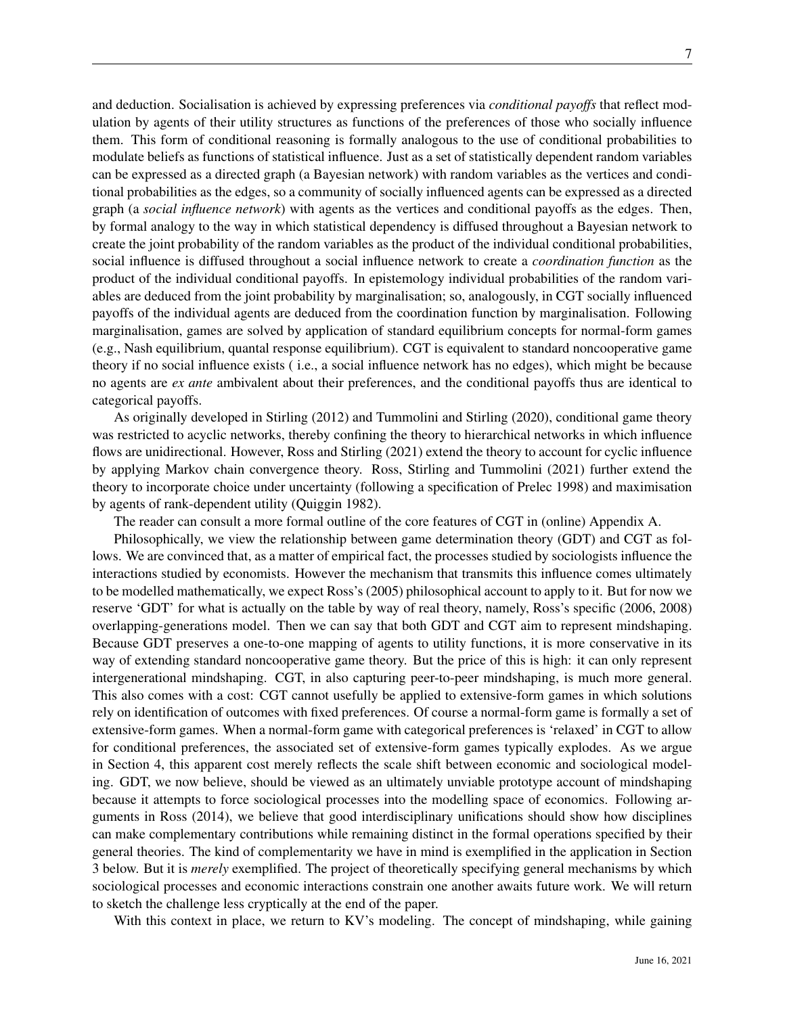and deduction. Socialisation is achieved by expressing preferences via *conditional payoffs* that reflect modulation by agents of their utility structures as functions of the preferences of those who socially influence them. This form of conditional reasoning is formally analogous to the use of conditional probabilities to modulate beliefs as functions of statistical influence. Just as a set of statistically dependent random variables can be expressed as a directed graph (a Bayesian network) with random variables as the vertices and conditional probabilities as the edges, so a community of socially influenced agents can be expressed as a directed graph (a *social influence network*) with agents as the vertices and conditional payoffs as the edges. Then, by formal analogy to the way in which statistical dependency is diffused throughout a Bayesian network to create the joint probability of the random variables as the product of the individual conditional probabilities, social influence is diffused throughout a social influence network to create a *coordination function* as the product of the individual conditional payoffs. In epistemology individual probabilities of the random variables are deduced from the joint probability by marginalisation; so, analogously, in CGT socially influenced payoffs of the individual agents are deduced from the coordination function by marginalisation. Following marginalisation, games are solved by application of standard equilibrium concepts for normal-form games (e.g., Nash equilibrium, quantal response equilibrium). CGT is equivalent to standard noncooperative game theory if no social influence exists ( i.e., a social influence network has no edges), which might be because no agents are *ex ante* ambivalent about their preferences, and the conditional payoffs thus are identical to categorical payoffs.

As originally developed in Stirling (2012) and Tummolini and Stirling (2020), conditional game theory was restricted to acyclic networks, thereby confining the theory to hierarchical networks in which influence flows are unidirectional. However, Ross and Stirling (2021) extend the theory to account for cyclic influence by applying Markov chain convergence theory. Ross, Stirling and Tummolini (2021) further extend the theory to incorporate choice under uncertainty (following a specification of Prelec 1998) and maximisation by agents of rank-dependent utility (Quiggin 1982).

The reader can consult a more formal outline of the core features of CGT in (online) Appendix A.

Philosophically, we view the relationship between game determination theory (GDT) and CGT as follows. We are convinced that, as a matter of empirical fact, the processes studied by sociologists influence the interactions studied by economists. However the mechanism that transmits this influence comes ultimately to be modelled mathematically, we expect Ross's (2005) philosophical account to apply to it. But for now we reserve 'GDT' for what is actually on the table by way of real theory, namely, Ross's specific (2006, 2008) overlapping-generations model. Then we can say that both GDT and CGT aim to represent mindshaping. Because GDT preserves a one-to-one mapping of agents to utility functions, it is more conservative in its way of extending standard noncooperative game theory. But the price of this is high: it can only represent intergenerational mindshaping. CGT, in also capturing peer-to-peer mindshaping, is much more general. This also comes with a cost: CGT cannot usefully be applied to extensive-form games in which solutions rely on identification of outcomes with fixed preferences. Of course a normal-form game is formally a set of extensive-form games. When a normal-form game with categorical preferences is 'relaxed' in CGT to allow for conditional preferences, the associated set of extensive-form games typically explodes. As we argue in Section 4, this apparent cost merely reflects the scale shift between economic and sociological modeling. GDT, we now believe, should be viewed as an ultimately unviable prototype account of mindshaping because it attempts to force sociological processes into the modelling space of economics. Following arguments in Ross (2014), we believe that good interdisciplinary unifications should show how disciplines can make complementary contributions while remaining distinct in the formal operations specified by their general theories. The kind of complementarity we have in mind is exemplified in the application in Section 3 below. But it is *merely* exemplified. The project of theoretically specifying general mechanisms by which sociological processes and economic interactions constrain one another awaits future work. We will return to sketch the challenge less cryptically at the end of the paper.

With this context in place, we return to KV's modeling. The concept of mindshaping, while gaining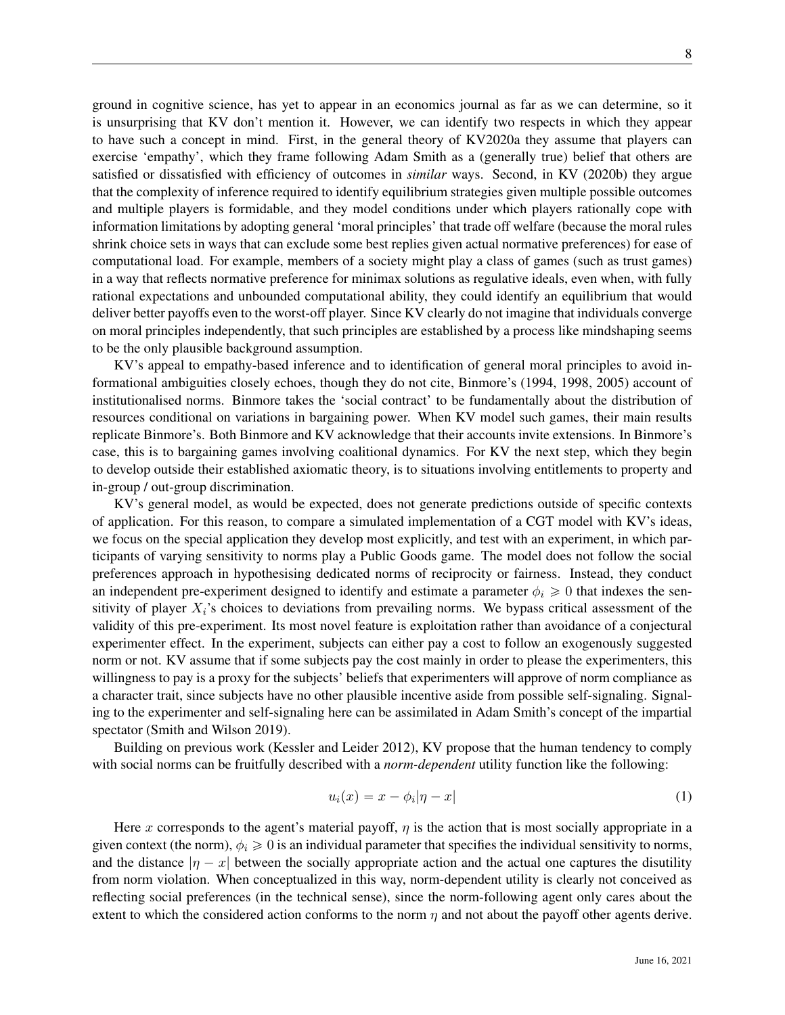ground in cognitive science, has yet to appear in an economics journal as far as we can determine, so it is unsurprising that KV don't mention it. However, we can identify two respects in which they appear to have such a concept in mind. First, in the general theory of KV2020a they assume that players can exercise 'empathy', which they frame following Adam Smith as a (generally true) belief that others are satisfied or dissatisfied with efficiency of outcomes in *similar* ways. Second, in KV (2020b) they argue that the complexity of inference required to identify equilibrium strategies given multiple possible outcomes and multiple players is formidable, and they model conditions under which players rationally cope with information limitations by adopting general 'moral principles' that trade off welfare (because the moral rules shrink choice sets in ways that can exclude some best replies given actual normative preferences) for ease of computational load. For example, members of a society might play a class of games (such as trust games) in a way that reflects normative preference for minimax solutions as regulative ideals, even when, with fully rational expectations and unbounded computational ability, they could identify an equilibrium that would deliver better payoffs even to the worst-off player. Since KV clearly do not imagine that individuals converge on moral principles independently, that such principles are established by a process like mindshaping seems to be the only plausible background assumption.

KV's appeal to empathy-based inference and to identification of general moral principles to avoid informational ambiguities closely echoes, though they do not cite, Binmore's (1994, 1998, 2005) account of institutionalised norms. Binmore takes the 'social contract' to be fundamentally about the distribution of resources conditional on variations in bargaining power. When KV model such games, their main results replicate Binmore's. Both Binmore and KV acknowledge that their accounts invite extensions. In Binmore's case, this is to bargaining games involving coalitional dynamics. For KV the next step, which they begin to develop outside their established axiomatic theory, is to situations involving entitlements to property and in-group / out-group discrimination.

KV's general model, as would be expected, does not generate predictions outside of specific contexts of application. For this reason, to compare a simulated implementation of a CGT model with KV's ideas, we focus on the special application they develop most explicitly, and test with an experiment, in which participants of varying sensitivity to norms play a Public Goods game. The model does not follow the social preferences approach in hypothesising dedicated norms of reciprocity or fairness. Instead, they conduct an independent pre-experiment designed to identify and estimate a parameter  $\phi_i \geq 0$  that indexes the sensitivity of player  $X_i$ 's choices to deviations from prevailing norms. We bypass critical assessment of the validity of this pre-experiment. Its most novel feature is exploitation rather than avoidance of a conjectural experimenter effect. In the experiment, subjects can either pay a cost to follow an exogenously suggested norm or not. KV assume that if some subjects pay the cost mainly in order to please the experimenters, this willingness to pay is a proxy for the subjects' beliefs that experimenters will approve of norm compliance as a character trait, since subjects have no other plausible incentive aside from possible self-signaling. Signaling to the experimenter and self-signaling here can be assimilated in Adam Smith's concept of the impartial spectator (Smith and Wilson 2019).

Building on previous work (Kessler and Leider 2012), KV propose that the human tendency to comply with social norms can be fruitfully described with a *norm-dependent* utility function like the following:

$$
u_i(x) = x - \phi_i |\eta - x| \tag{1}
$$

Here x corresponds to the agent's material payoff,  $\eta$  is the action that is most socially appropriate in a given context (the norm),  $\phi_i \geq 0$  is an individual parameter that specifies the individual sensitivity to norms, and the distance  $|\eta - x|$  between the socially appropriate action and the actual one captures the disutility from norm violation. When conceptualized in this way, norm-dependent utility is clearly not conceived as reflecting social preferences (in the technical sense), since the norm-following agent only cares about the extent to which the considered action conforms to the norm  $\eta$  and not about the payoff other agents derive.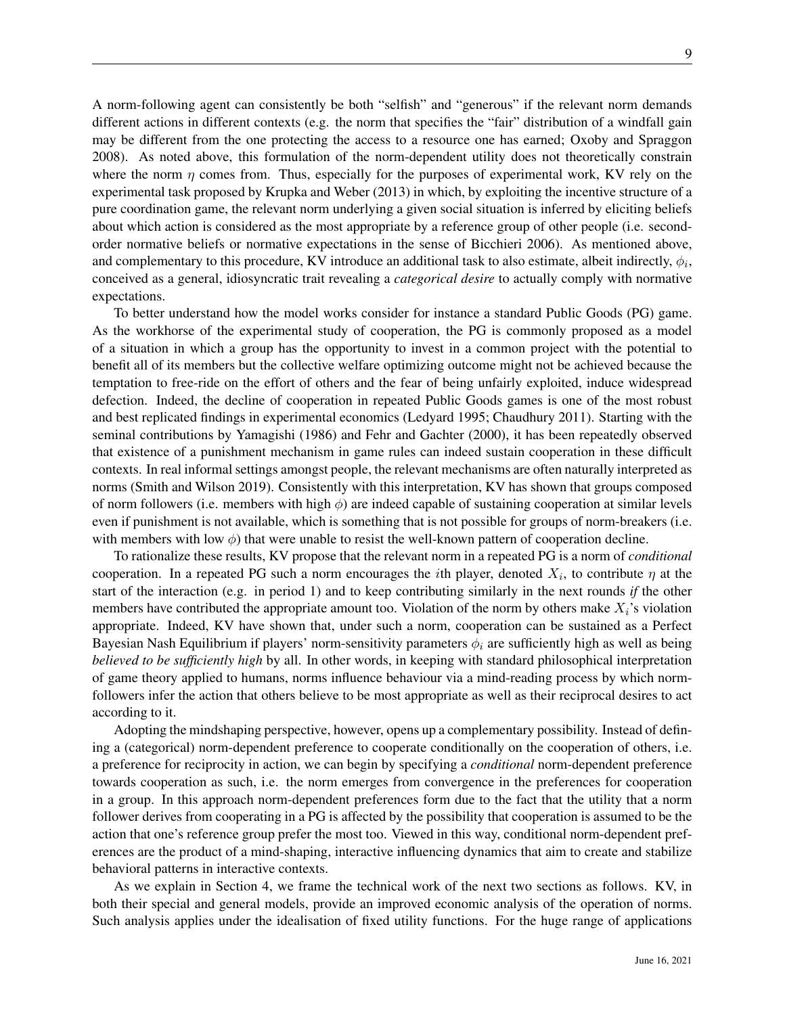A norm-following agent can consistently be both "selfish" and "generous" if the relevant norm demands different actions in different contexts (e.g. the norm that specifies the "fair" distribution of a windfall gain may be different from the one protecting the access to a resource one has earned; Oxoby and Spraggon 2008). As noted above, this formulation of the norm-dependent utility does not theoretically constrain where the norm  $\eta$  comes from. Thus, especially for the purposes of experimental work, KV rely on the experimental task proposed by Krupka and Weber (2013) in which, by exploiting the incentive structure of a pure coordination game, the relevant norm underlying a given social situation is inferred by eliciting beliefs about which action is considered as the most appropriate by a reference group of other people (i.e. secondorder normative beliefs or normative expectations in the sense of Bicchieri 2006). As mentioned above, and complementary to this procedure, KV introduce an additional task to also estimate, albeit indirectly,  $\phi_i$ , conceived as a general, idiosyncratic trait revealing a *categorical desire* to actually comply with normative expectations.

To better understand how the model works consider for instance a standard Public Goods (PG) game. As the workhorse of the experimental study of cooperation, the PG is commonly proposed as a model of a situation in which a group has the opportunity to invest in a common project with the potential to benefit all of its members but the collective welfare optimizing outcome might not be achieved because the temptation to free-ride on the effort of others and the fear of being unfairly exploited, induce widespread defection. Indeed, the decline of cooperation in repeated Public Goods games is one of the most robust and best replicated findings in experimental economics (Ledyard 1995; Chaudhury 2011). Starting with the seminal contributions by Yamagishi (1986) and Fehr and Gachter (2000), it has been repeatedly observed that existence of a punishment mechanism in game rules can indeed sustain cooperation in these difficult contexts. In real informal settings amongst people, the relevant mechanisms are often naturally interpreted as norms (Smith and Wilson 2019). Consistently with this interpretation, KV has shown that groups composed of norm followers (i.e. members with high  $\phi$ ) are indeed capable of sustaining cooperation at similar levels even if punishment is not available, which is something that is not possible for groups of norm-breakers (i.e. with members with low  $\phi$ ) that were unable to resist the well-known pattern of cooperation decline.

To rationalize these results, KV propose that the relevant norm in a repeated PG is a norm of *conditional* cooperation. In a repeated PG such a norm encourages the *i*th player, denoted  $X_i$ , to contribute  $\eta$  at the start of the interaction (e.g. in period 1) and to keep contributing similarly in the next rounds *if* the other members have contributed the appropriate amount too. Violation of the norm by others make  $X_i$ 's violation appropriate. Indeed, KV have shown that, under such a norm, cooperation can be sustained as a Perfect Bayesian Nash Equilibrium if players' norm-sensitivity parameters  $\phi_i$  are sufficiently high as well as being *believed to be sufficiently high* by all. In other words, in keeping with standard philosophical interpretation of game theory applied to humans, norms influence behaviour via a mind-reading process by which normfollowers infer the action that others believe to be most appropriate as well as their reciprocal desires to act according to it.

Adopting the mindshaping perspective, however, opens up a complementary possibility. Instead of defining a (categorical) norm-dependent preference to cooperate conditionally on the cooperation of others, i.e. a preference for reciprocity in action, we can begin by specifying a *conditional* norm-dependent preference towards cooperation as such, i.e. the norm emerges from convergence in the preferences for cooperation in a group. In this approach norm-dependent preferences form due to the fact that the utility that a norm follower derives from cooperating in a PG is affected by the possibility that cooperation is assumed to be the action that one's reference group prefer the most too. Viewed in this way, conditional norm-dependent preferences are the product of a mind-shaping, interactive influencing dynamics that aim to create and stabilize behavioral patterns in interactive contexts.

As we explain in Section 4, we frame the technical work of the next two sections as follows. KV, in both their special and general models, provide an improved economic analysis of the operation of norms. Such analysis applies under the idealisation of fixed utility functions. For the huge range of applications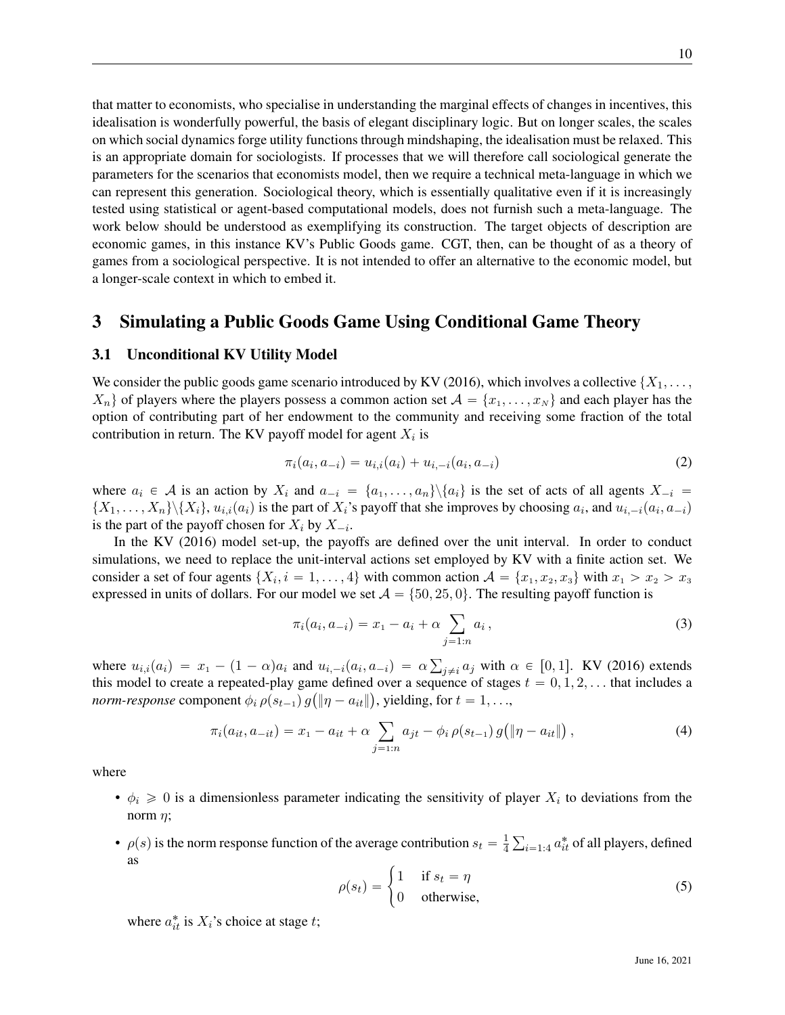that matter to economists, who specialise in understanding the marginal effects of changes in incentives, this idealisation is wonderfully powerful, the basis of elegant disciplinary logic. But on longer scales, the scales on which social dynamics forge utility functions through mindshaping, the idealisation must be relaxed. This is an appropriate domain for sociologists. If processes that we will therefore call sociological generate the parameters for the scenarios that economists model, then we require a technical meta-language in which we can represent this generation. Sociological theory, which is essentially qualitative even if it is increasingly tested using statistical or agent-based computational models, does not furnish such a meta-language. The work below should be understood as exemplifying its construction. The target objects of description are economic games, in this instance KV's Public Goods game. CGT, then, can be thought of as a theory of games from a sociological perspective. It is not intended to offer an alternative to the economic model, but a longer-scale context in which to embed it.

## 3 Simulating a Public Goods Game Using Conditional Game Theory

#### 3.1 Unconditional KV Utility Model

We consider the public goods game scenario introduced by KV (2016), which involves a collective  $\{X_1, \ldots, X_n\}$  $X_n$  of players where the players possess a common action set  $A = \{x_1, \ldots, x_N\}$  and each player has the option of contributing part of her endowment to the community and receiving some fraction of the total contribution in return. The KV payoff model for agent  $X_i$  is

$$
\pi_i(a_i, a_{-i}) = u_{i,i}(a_i) + u_{i,-i}(a_i, a_{-i})
$$
\n(2)

where  $a_i \in A$  is an action by  $X_i$  and  $a_{-i} = \{a_1, \ldots, a_n\} \setminus \{a_i\}$  is the set of acts of all agents  $X_{-i}$  $\{X_1, \ldots, X_n\} \setminus \{X_i\}, u_{i,i}(a_i)$  is the part of  $X_i$ 's payoff that she improves by choosing  $a_i$ , and  $u_{i,-i}(a_i, a_{-i})$ is the part of the payoff chosen for  $X_i$  by  $X_{-i}$ .

In the KV (2016) model set-up, the payoffs are defined over the unit interval. In order to conduct simulations, we need to replace the unit-interval actions set employed by KV with a finite action set. We consider a set of four agents  $\{X_i, i = 1, ..., 4\}$  with common action  $\mathcal{A} = \{x_1, x_2, x_3\}$  with  $x_1 > x_2 > x_3$ expressed in units of dollars. For our model we set  $A = \{50, 25, 0\}$ . The resulting payoff function is

$$
\pi_i(a_i, a_{-i}) = x_1 - a_i + \alpha \sum_{j=1:n} a_i,
$$
\n(3)

where  $u_{i,i}(a_i) = x_1 - (1 - \alpha)a_i$  and  $u_{i,-i}(a_i, a_{-i}) = \alpha$  $_{j\neq i} a_j$  with  $\alpha \in [0, 1]$ . KV (2016) extends this model to create a repeated-play game defined over a sequence of stages  $t = 0, 1, 2, \ldots$  that includes a *norm-response* component  $\phi_i \, \rho(s_{t-1}) \, g(\|\eta - a_{it}\|)$ , yielding, for  $t = 1, \ldots,$ 

$$
\pi_i(a_{it}, a_{-it}) = x_1 - a_{it} + \alpha \sum_{j=1:n} a_{jt} - \phi_i \,\rho(s_{t-1}) \,g\big(\|\eta - a_{it}\|\big)\,,\tag{4}
$$

where

- $\phi_i \geq 0$  is a dimensionless parameter indicating the sensitivity of player  $X_i$  to deviations from the norm  $\eta$ ;
- $\rho(s)$  is the norm response function of the average contribution  $s_t = \frac{1}{4}$ 4  $i=1:4$   $a_{it}^*$  of all players, defined as

$$
\rho(s_t) = \begin{cases} 1 & \text{if } s_t = \eta \\ 0 & \text{otherwise,} \end{cases}
$$
\n(5)

where  $a_{it}^*$  is  $X_i$ 's choice at stage t;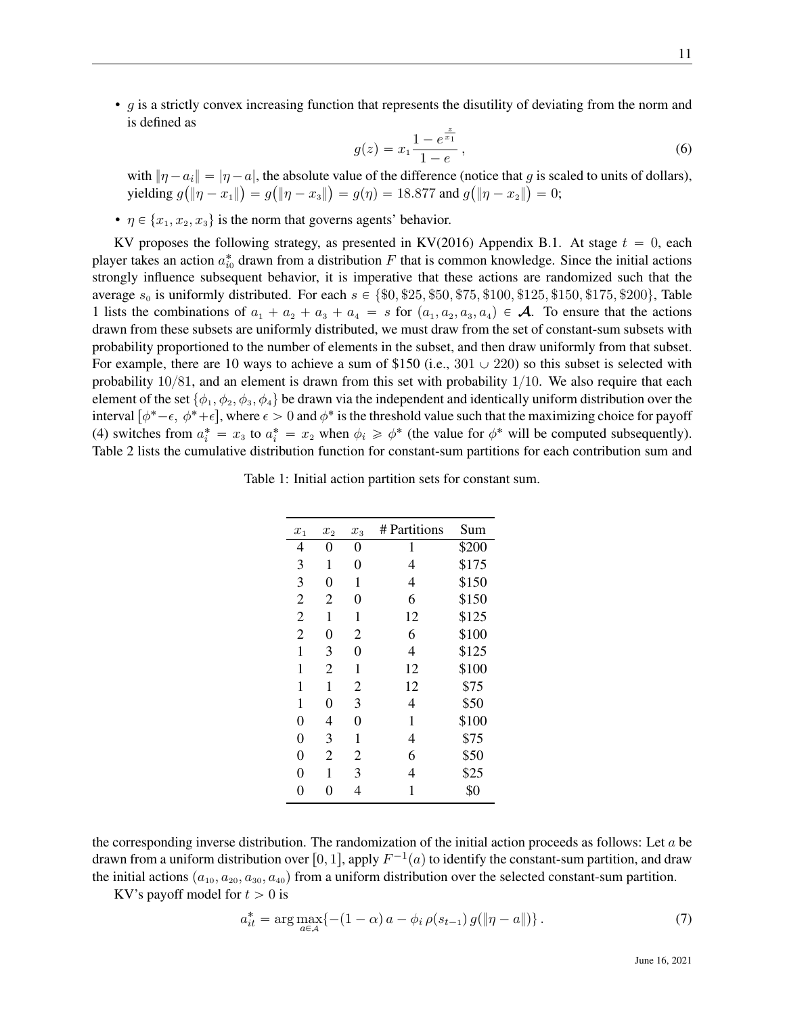• g is a strictly convex increasing function that represents the disutility of deviating from the norm and is defined as z

$$
g(z) = x_1 \frac{1 - e^{\frac{z}{x_1}}}{1 - e},
$$
\n(6)

with  $\|\eta - a_i\| = |\eta - a|$ , the absolute value of the difference (notice that g is scaled to units of dollars), yielding  $g(\|\eta - x_1\|) = g(\|\eta - x_3\|) = g(\eta) = 18.877$  and  $g(\|\eta - x_2\|) = 0;$ 

•  $\eta \in \{x_1, x_2, x_3\}$  is the norm that governs agents' behavior.

KV proposes the following strategy, as presented in KV(2016) Appendix B.1. At stage  $t = 0$ , each player takes an action  $a_{i0}^*$  drawn from a distribution F that is common knowledge. Since the initial actions strongly influence subsequent behavior, it is imperative that these actions are randomized such that the average  $s_0$  is uniformly distributed. For each  $s \in \{\$0, \$25, \$50, \$75, \$100, \$125, \$150, \$175, \$200\}$ , Table 1 lists the combinations of  $a_1 + a_2 + a_3 + a_4 = s$  for  $(a_1, a_2, a_3, a_4) \in \mathcal{A}$ . To ensure that the actions drawn from these subsets are uniformly distributed, we must draw from the set of constant-sum subsets with probability proportioned to the number of elements in the subset, and then draw uniformly from that subset. For example, there are 10 ways to achieve a sum of \$150 (i.e., 301  $\cup$  220) so this subset is selected with probability  $10/81$ , and an element is drawn from this set with probability  $1/10$ . We also require that each element of the set  $\{\phi_1, \phi_2, \phi_3, \phi_4\}$  be drawn via the independent and identically uniform distribution over the interval  $[\phi^*-\epsilon, \phi^*+\epsilon]$ , where  $\epsilon > 0$  and  $\phi^*$  is the threshold value such that the maximizing choice for payoff (4) switches from  $a_i^* = x_3$  to  $a_i^* = x_2$  when  $\phi_i \ge \phi^*$  (the value for  $\phi^*$  will be computed subsequently). Table 2 lists the cumulative distribution function for constant-sum partitions for each contribution sum and

Table 1: Initial action partition sets for constant sum.

| $x_1$          | $x_2$          | $x_3$          | # Partitions   | Sum   |
|----------------|----------------|----------------|----------------|-------|
| 4              | 0              | 0              | 1              | \$200 |
| 3              | 1              | 0              | 4              | \$175 |
| 3              | $\overline{0}$ | 1              | $\overline{4}$ | \$150 |
| $\overline{2}$ | 2              | 0              | 6              | \$150 |
| $\overline{2}$ | 1              | $\mathbf{1}$   | 12             | \$125 |
| $\overline{2}$ | $\overline{0}$ | $\overline{2}$ | 6              | \$100 |
| $\mathbf{1}$   | 3              | $\overline{0}$ | $\overline{4}$ | \$125 |
| 1              | 2              | 1              | 12             | \$100 |
| $\mathbf 1$    | $\mathbf{1}$   | $\overline{2}$ | 12             | \$75  |
| 1              | 0              | 3              | $\overline{4}$ | \$50  |
| $\overline{0}$ | 4              | $\overline{0}$ | 1              | \$100 |
| $\overline{0}$ | 3              | 1              | 4              | \$75  |
| $\overline{0}$ | $\overline{2}$ | $\overline{c}$ | 6              | \$50  |
| $\overline{0}$ | 1              | 3              | 4              | \$25  |
| 0              | 0              | 4              | 1              | \$0   |

the corresponding inverse distribution. The randomization of the initial action proceeds as follows: Let  $a$  be drawn from a uniform distribution over  $[0,1],$  apply  $F^{-1}(a)$  to identify the constant-sum partition, and draw the initial actions  $(a_{10}, a_{20}, a_{30}, a_{40})$  from a uniform distribution over the selected constant-sum partition.

KV's payoff model for  $t > 0$  is

$$
a_{it}^* = \arg \max_{a \in A} \{ -(1 - \alpha) a - \phi_i \, \rho(s_{t-1}) \, g(\|\eta - a\|) \}.
$$
 (7)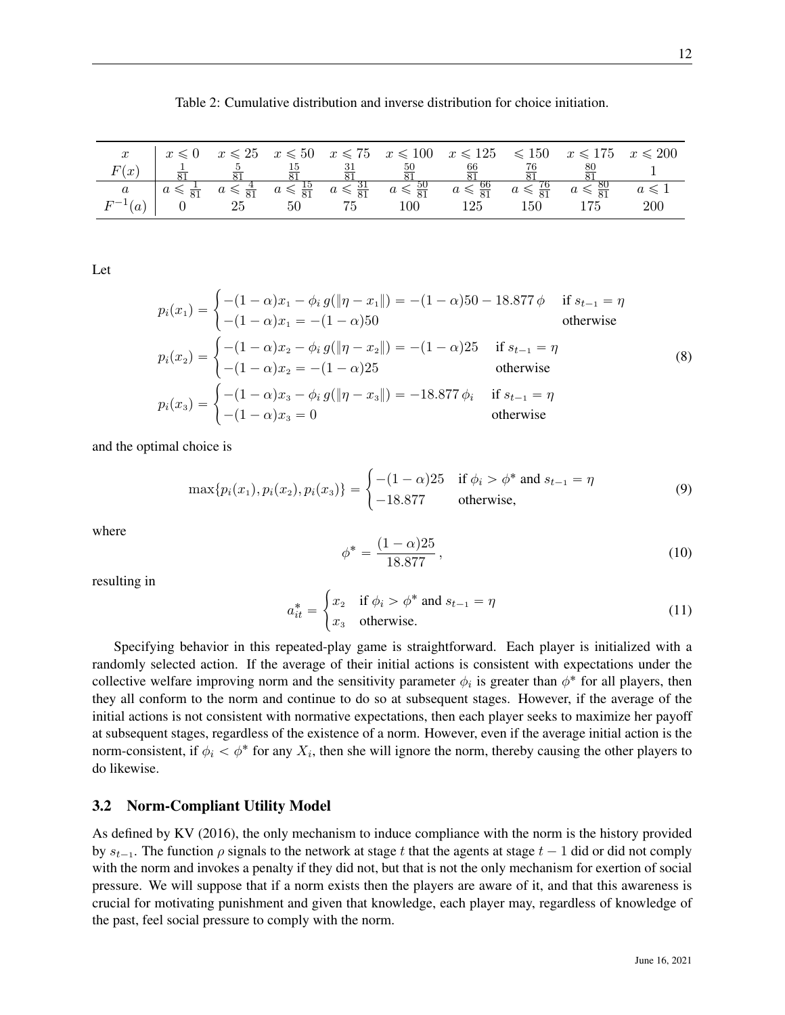| Table 2: Cumulative distribution and inverse distribution for choice initiation. |  |
|----------------------------------------------------------------------------------|--|
|----------------------------------------------------------------------------------|--|

| $\boldsymbol{x}$ |  |  |                                    |     | $x \leq 0$ $x \leq 25$ $x \leq 50$ $x \leq 75$ $x \leq 100$ $x \leq 125$ $\leq 150$ $x \leq 175$ $x \leq 200$                                                                                                                                                                                                                                                                                        |     |
|------------------|--|--|------------------------------------|-----|------------------------------------------------------------------------------------------------------------------------------------------------------------------------------------------------------------------------------------------------------------------------------------------------------------------------------------------------------------------------------------------------------|-----|
|                  |  |  |                                    |     | $\begin{array}{c cccccc} F(x) & \frac{1}{81} & \frac{5}{81} & \frac{15}{81} & \frac{31}{81} & \frac{50}{81} & \frac{66}{81} & \frac{76}{81} & \frac{80}{81} & 1 \\ \hline a & a \leqslant \frac{1}{81} & a \leqslant \frac{4}{81} & a \leqslant \frac{15}{81} & a \leqslant \frac{31}{81} & a \leqslant \frac{50}{81} & a \leqslant \frac{66}{81} & a \leqslant \frac{76}{81} & a \leqslant \frac{8$ |     |
|                  |  |  |                                    |     |                                                                                                                                                                                                                                                                                                                                                                                                      |     |
|                  |  |  | $F^{-1}(a)$   0 $25$ 50 75 100 125 | 150 | 175                                                                                                                                                                                                                                                                                                                                                                                                  | 200 |

Let

$$
p_i(x_1) = \begin{cases} -(1 - \alpha)x_1 - \phi_i g(\|\eta - x_1\|) = -(1 - \alpha)50 - 18.877 \phi & \text{if } s_{t-1} = \eta \\ -(1 - \alpha)x_1 = -(1 - \alpha)50 & \text{otherwise} \end{cases}
$$
  
\n
$$
p_i(x_2) = \begin{cases} -(1 - \alpha)x_2 - \phi_i g(\|\eta - x_2\|) = -(1 - \alpha)25 & \text{if } s_{t-1} = \eta \\ -(1 - \alpha)x_2 = -(1 - \alpha)25 & \text{otherwise} \end{cases}
$$
  
\n
$$
p_i(x_3) = \begin{cases} -(1 - \alpha)x_3 - \phi_i g(\|\eta - x_3\|) = -18.877 \phi_i & \text{if } s_{t-1} = \eta \\ -(1 - \alpha)x_3 = 0 & \text{otherwise} \end{cases}
$$
  
\n(8)

and the optimal choice is

$$
\max\{p_i(x_1), p_i(x_2), p_i(x_3)\} = \begin{cases} -(1-\alpha)25 & \text{if } \phi_i > \phi^* \text{ and } s_{t-1} = \eta \\ -18.877 & \text{otherwise,} \end{cases}
$$
(9)

where

$$
\phi^* = \frac{(1 - \alpha)25}{18.877},\tag{10}
$$

resulting in

$$
a_{it}^{*} = \begin{cases} x_2 & \text{if } \phi_i > \phi^* \text{ and } s_{t-1} = \eta \\ x_3 & \text{otherwise.} \end{cases}
$$
 (11)

Specifying behavior in this repeated-play game is straightforward. Each player is initialized with a randomly selected action. If the average of their initial actions is consistent with expectations under the collective welfare improving norm and the sensitivity parameter  $\phi_i$  is greater than  $\phi^*$  for all players, then they all conform to the norm and continue to do so at subsequent stages. However, if the average of the initial actions is not consistent with normative expectations, then each player seeks to maximize her payoff at subsequent stages, regardless of the existence of a norm. However, even if the average initial action is the norm-consistent, if  $\phi_i < \phi^*$  for any  $X_i$ , then she will ignore the norm, thereby causing the other players to do likewise.

### 3.2 Norm-Compliant Utility Model

As defined by KV (2016), the only mechanism to induce compliance with the norm is the history provided by  $s_{t-1}$ . The function  $\rho$  signals to the network at stage t that the agents at stage  $t - 1$  did or did not comply with the norm and invokes a penalty if they did not, but that is not the only mechanism for exertion of social pressure. We will suppose that if a norm exists then the players are aware of it, and that this awareness is crucial for motivating punishment and given that knowledge, each player may, regardless of knowledge of the past, feel social pressure to comply with the norm.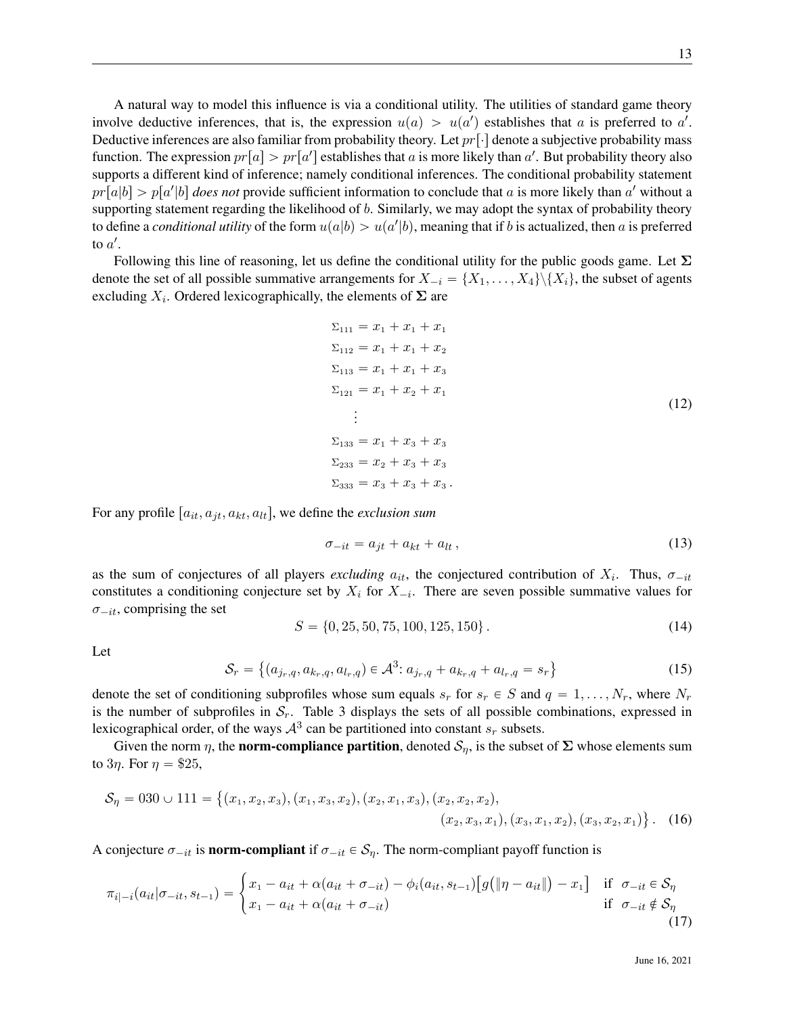A natural way to model this influence is via a conditional utility. The utilities of standard game theory involve deductive inferences, that is, the expression  $u(a) > u(a')$  establishes that a is preferred to a'. Deductive inferences are also familiar from probability theory. Let  $pr[\cdot]$  denote a subjective probability mass function. The expression  $pr[a] > pr[a']$  establishes that a is more likely than a'. But probability theory also supports a different kind of inference; namely conditional inferences. The conditional probability statement  $pr[a|b] > p[a'|b]$  *does not* provide sufficient information to conclude that a is more likely than a' without a supporting statement regarding the likelihood of b. Similarly, we may adopt the syntax of probability theory to define a *conditional utility* of the form  $u(a|b) > u(a'|b)$ , meaning that if b is actualized, then a is preferred to  $a'$ .

Following this line of reasoning, let us define the conditional utility for the public goods game. Let  $\Sigma$ denote the set of all possible summative arrangements for  $X_{-i} = \{X_1, \ldots, X_4\} \setminus \{X_i\}$ , the subset of agents excluding  $X_i$ . Ordered lexicographically, the elements of  $\Sigma$  are

$$
\Sigma_{111} = x_1 + x_1 + x_1
$$
  
\n
$$
\Sigma_{112} = x_1 + x_1 + x_2
$$
  
\n
$$
\Sigma_{113} = x_1 + x_1 + x_3
$$
  
\n
$$
\Sigma_{121} = x_1 + x_2 + x_1
$$
  
\n
$$
\vdots
$$
  
\n
$$
\Sigma_{133} = x_1 + x_3 + x_3
$$
  
\n
$$
\Sigma_{233} = x_2 + x_3 + x_3
$$
  
\n
$$
\Sigma_{333} = x_3 + x_3 + x_3
$$

For any profile  $[a_{it}, a_{it}, a_{kt}, a_{lt}]$ , we define the *exclusion sum* 

$$
\sigma_{-it} = a_{jt} + a_{kt} + a_{lt},\tag{13}
$$

as the sum of conjectures of all players *excluding*  $a_{it}$ , the conjectured contribution of  $X_i$ . Thus,  $\sigma_{-it}$ constitutes a conditioning conjecture set by  $X_i$  for  $X_{-i}$ . There are seven possible summative values for  $\sigma_{-it}$ , comprising the set

$$
S = \{0, 25, 50, 75, 100, 125, 150\}.
$$
\n
$$
(14)
$$

Let

$$
S_r = \{(a_{j_r,q}, a_{k_r,q}, a_{l_r,q}) \in \mathcal{A}^3 : a_{j_r,q} + a_{k_r,q} + a_{l_r,q} = s_r\}
$$
(15)

denote the set of conditioning subprofiles whose sum equals  $s_r$  for  $s_r \in S$  and  $q = 1, \ldots, N_r$ , where  $N_r$ is the number of subprofiles in  $S_r$ . Table 3 displays the sets of all possible combinations, expressed in lexicographical order, of the ways  $A^3$  can be partitioned into constant  $s_r$  subsets.

Given the norm  $\eta$ , the **norm-compliance partition**, denoted  $S_{\eta}$ , is the subset of  $\Sigma$  whose elements sum to  $3\eta$ . For  $\eta = \$25$ ,

$$
S_{\eta} = 030 \cup 111 = \{(x_1, x_2, x_3), (x_1, x_3, x_2), (x_2, x_1, x_3), (x_2, x_2, x_2), (x_3, x_1, x_2), (x_3, x_2, x_1)\}.
$$
 (16)

A conjecture  $\sigma_{-it}$  is **norm-compliant** if  $\sigma_{-it} \in S_\eta$ . The norm-compliant payoff function is

$$
\pi_{i|-i}(a_{it}|\sigma_{-it}, s_{t-1}) = \begin{cases} x_1 - a_{it} + \alpha(a_{it} + \sigma_{-it}) - \phi_i(a_{it}, s_{t-1}) [g(\|\eta - a_{it}\|) - x_1] & \text{if } \sigma_{-it} \in \mathcal{S}_{\eta} \\ x_1 - a_{it} + \alpha(a_{it} + \sigma_{-it}) & \text{if } \sigma_{-it} \notin \mathcal{S}_{\eta} \end{cases}
$$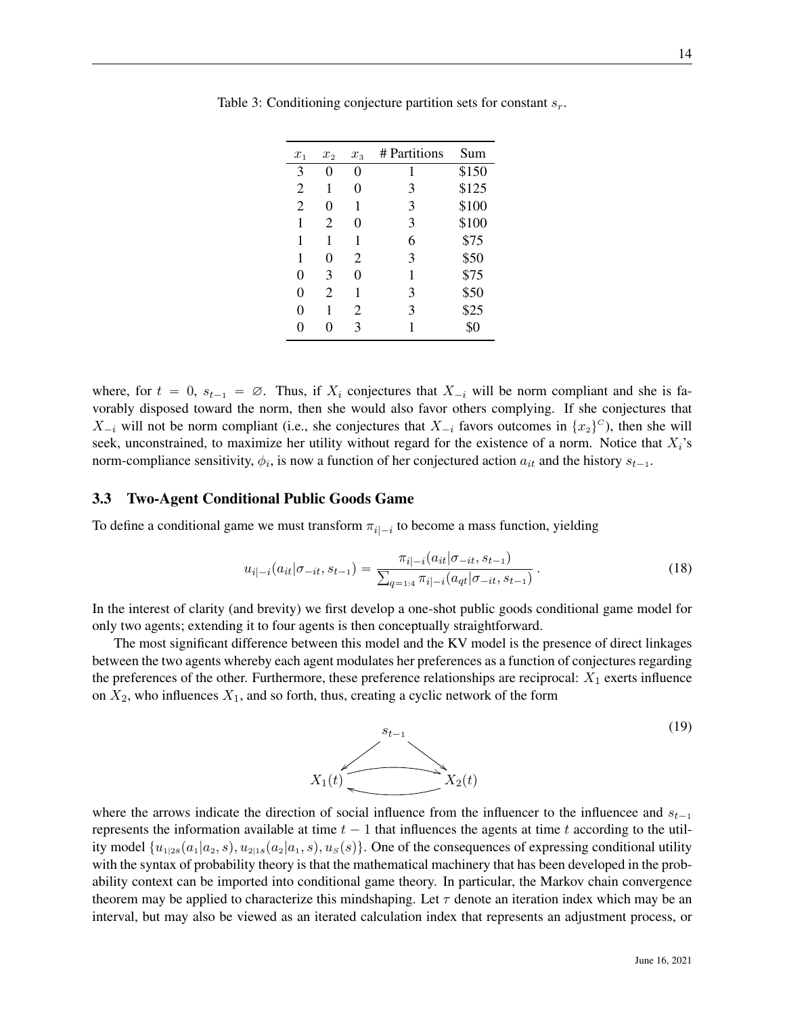| $x_{1}$        | $x_2$          | $x_3$ | # Partitions | Sum   |
|----------------|----------------|-------|--------------|-------|
| 3              | 0              | 0     | 1            | \$150 |
| $\overline{2}$ | 1              | 0     | 3            | \$125 |
| $\overline{2}$ | 0              |       | 3            | \$100 |
| 1              | $\overline{2}$ | 0     | 3            | \$100 |
| 1              | 1              | 1     | 6            | \$75  |
| 1              | 0              | 2     | 3            | \$50  |
| 0              | 3              | 0     | 1            | \$75  |
| 0              | 2              |       | 3            | \$50  |
| 0              | 1              | 2     | 3            | \$25  |
| 0              |                | 3     |              |       |

Table 3: Conditioning conjecture partition sets for constant  $s_r$ .

where, for  $t = 0$ ,  $s_{t-1} = \emptyset$ . Thus, if  $X_i$  conjectures that  $X_{-i}$  will be norm compliant and she is favorably disposed toward the norm, then she would also favor others complying. If she conjectures that  $X_{-i}$  will not be norm compliant (i.e., she conjectures that  $X_{-i}$  favors outcomes in  $\{x_2\}^C$ ), then she will seek, unconstrained, to maximize her utility without regard for the existence of a norm. Notice that  $X_i$ 's norm-compliance sensitivity,  $\phi_i$ , is now a function of her conjectured action  $a_{it}$  and the history  $s_{t-1}$ .

#### 3.3 Two-Agent Conditional Public Goods Game

To define a conditional game we must transform  $\pi_{i,-i}$  to become a mass function, yielding

$$
u_{i|-i}(a_{it}|\sigma_{-it}, s_{t-1}) = \frac{\pi_{i|-i}(a_{it}|\sigma_{-it}, s_{t-1})}{\sum_{q=1:4} \pi_{i|-i}(a_{qt}|\sigma_{-it}, s_{t-1})}.
$$
\n(18)

In the interest of clarity (and brevity) we first develop a one-shot public goods conditional game model for only two agents; extending it to four agents is then conceptually straightforward.

The most significant difference between this model and the KV model is the presence of direct linkages between the two agents whereby each agent modulates her preferences as a function of conjectures regarding the preferences of the other. Furthermore, these preference relationships are reciprocal:  $X_1$  exerts influence on  $X_2$ , who influences  $X_1$ , and so forth, thus, creating a cyclic network of the form



where the arrows indicate the direction of social influence from the influencer to the influencee and  $s_{t-1}$ represents the information available at time  $t - 1$  that influences the agents at time t according to the utility model  $\{u_{1|2s}(a_1|a_2, s), u_{2|1s}(a_2|a_1, s), u_S(s)\}\)$ . One of the consequences of expressing conditional utility with the syntax of probability theory is that the mathematical machinery that has been developed in the probability context can be imported into conditional game theory. In particular, the Markov chain convergence theorem may be applied to characterize this mindshaping. Let  $\tau$  denote an iteration index which may be an interval, but may also be viewed as an iterated calculation index that represents an adjustment process, or

(19)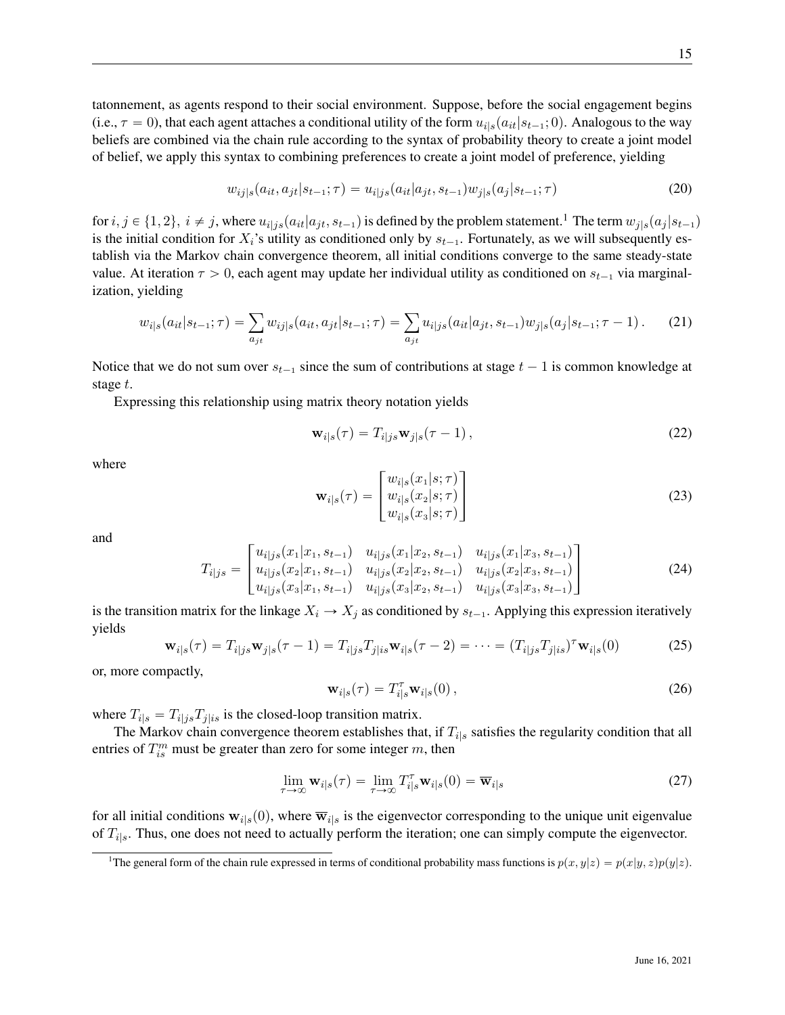tatonnement, as agents respond to their social environment. Suppose, before the social engagement begins (i.e.,  $\tau = 0$ ), that each agent attaches a conditional utility of the form  $u_{i|s}(a_{it}|s_{t-1}; 0)$ . Analogous to the way beliefs are combined via the chain rule according to the syntax of probability theory to create a joint model of belief, we apply this syntax to combining preferences to create a joint model of preference, yielding

$$
w_{ij|s}(a_{it}, a_{jt}|s_{t-1}; \tau) = u_{i|js}(a_{it}|a_{jt}, s_{t-1})w_{j|s}(a_j|s_{t-1}; \tau)
$$
\n(20)

for  $i, j \in \{1, 2\}, i \neq j$ , where  $u_{i|js}(a_{it}|a_{jt}, s_{t-1})$  is defined by the problem statement.<sup>1</sup> The term  $w_{j|s}(a_j|s_{t-1})$ is the initial condition for  $X_i$ 's utility as conditioned only by  $s_{t-1}$ . Fortunately, as we will subsequently establish via the Markov chain convergence theorem, all initial conditions converge to the same steady-state value. At iteration  $\tau > 0$ , each agent may update her individual utility as conditioned on  $s_{t-1}$  via marginalization, yielding

$$
w_{i|s}(a_{it}|s_{t-1};\tau) = \sum_{a_{jt}} w_{ij|s}(a_{it}, a_{jt}|s_{t-1};\tau) = \sum_{a_{jt}} u_{i|js}(a_{it}|a_{jt}, s_{t-1})w_{j|s}(a_{j}|s_{t-1};\tau-1).
$$
 (21)

Notice that we do not sum over  $s_{t-1}$  since the sum of contributions at stage  $t - 1$  is common knowledge at stage t.

Expressing this relationship using matrix theory notation yields

$$
\mathbf{w}_{i|s}(\tau) = T_{i|js} \mathbf{w}_{j|s}(\tau - 1), \qquad (22)
$$

where

$$
\mathbf{w}_{i|s}(\tau) = \begin{bmatrix} w_{i|s}(x_1|s;\tau) \\ w_{i|s}(x_2|s;\tau) \\ w_{i|s}(x_3|s;\tau) \end{bmatrix}
$$
(23)

fi

and

$$
T_{i|js} = \begin{bmatrix} u_{i|js}(x_1|x_1, s_{t-1}) & u_{i|js}(x_1|x_2, s_{t-1}) & u_{i|js}(x_1|x_3, s_{t-1}) \\ u_{i|js}(x_2|x_1, s_{t-1}) & u_{i|js}(x_2|x_2, s_{t-1}) & u_{i|js}(x_2|x_3, s_{t-1}) \\ u_{i|js}(x_3|x_1, s_{t-1}) & u_{i|js}(x_3|x_2, s_{t-1}) & u_{i|js}(x_3|x_3, s_{t-1}) \end{bmatrix}
$$
(24)

is the transition matrix for the linkage  $X_i \to X_j$  as conditioned by  $s_{t-1}$ . Applying this expression iteratively yields

$$
\mathbf{w}_{i|s}(\tau) = T_{i|j s} \mathbf{w}_{j|s}(\tau - 1) = T_{i|j s} T_{j|i s} \mathbf{w}_{i|s}(\tau - 2) = \dots = (T_{i|j s} T_{j|i s})^{\tau} \mathbf{w}_{i|s}(0)
$$
(25)

or, more compactly,

$$
\mathbf{w}_{i|s}(\tau) = T_{i|s}^{\tau} \mathbf{w}_{i|s}(0) , \qquad (26)
$$

where  $T_{i|s} = T_{i|js}T_{j|is}$  is the closed-loop transition matrix.

»

The Markov chain convergence theorem establishes that, if  $T_{i|s}$  satisfies the regularity condition that all entries of  $T_{is}^{m}$  must be greater than zero for some integer m, then

$$
\lim_{\tau \to \infty} \mathbf{w}_{i|s}(\tau) = \lim_{\tau \to \infty} T_{i|s}^{\tau} \mathbf{w}_{i|s}(0) = \overline{\mathbf{w}}_{i|s}
$$
(27)

for all initial conditions  $w_{i|s}(0)$ , where  $\overline{w}_{i|s}$  is the eigenvector corresponding to the unique unit eigenvalue of  $T_{i|s}$ . Thus, one does not need to actually perform the iteration; one can simply compute the eigenvector.

<sup>&</sup>lt;sup>1</sup>The general form of the chain rule expressed in terms of conditional probability mass functions is  $p(x, y|z) = p(x|y, z)p(y|z)$ .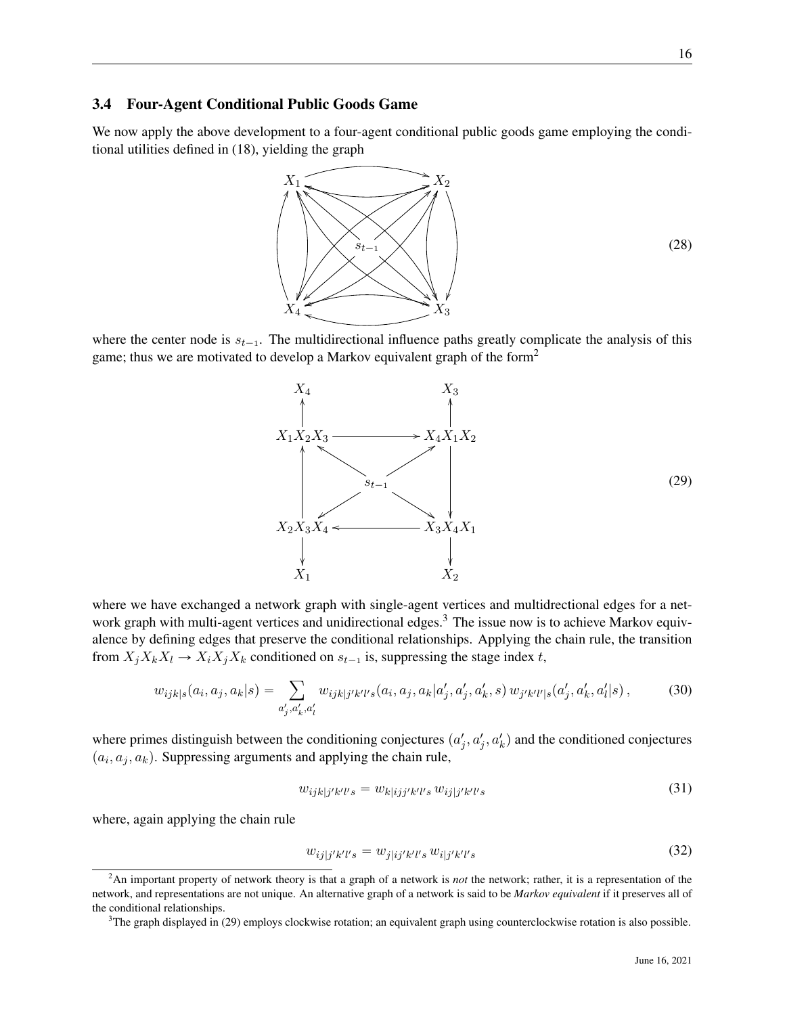### 3.4 Four-Agent Conditional Public Goods Game

We now apply the above development to a four-agent conditional public goods game employing the conditional utilities defined in (18), yielding the graph



(28)

where the center node is  $s_{t-1}$ . The multidirectional influence paths greatly complicate the analysis of this game; thus we are motivated to develop a Markov equivalent graph of the form<sup>2</sup>



where we have exchanged a network graph with single-agent vertices and multidrectional edges for a network graph with multi-agent vertices and unidirectional edges.<sup>3</sup> The issue now is to achieve Markov equivalence by defining edges that preserve the conditional relationships. Applying the chain rule, the transition from  $X_i X_k X_l \to X_i X_j X_k$  conditioned on  $s_{t-1}$  is, suppressing the stage index t,

$$
w_{ijk|s}(a_i, a_j, a_k|s) = \sum_{a'_j, a'_k, a'_l} w_{ijk|j'k'l's}(a_i, a_j, a_k|a'_j, a'_j, a'_k, s) w_{j'k'l'|s}(a'_j, a'_k, a'_l|s),
$$
(30)

where primes distinguish between the conditioning conjectures  $(a'_j, a'_j, a'_k)$  and the conditioned conjectures  $(a_i, a_j, a_k)$ . Suppressing arguments and applying the chain rule,

$$
w_{ijk|j'k'l's} = w_{k|ijj'k'l's} w_{ij|j'k'l's}
$$
\n
$$
(31)
$$

where, again applying the chain rule

$$
w_{ij|j'k'l's} = w_{j|ij'k'l's} w_{i|j'k'l's}
$$
\n
$$
(32)
$$

<sup>2</sup>An important property of network theory is that a graph of a network is *not* the network; rather, it is a representation of the network, and representations are not unique. An alternative graph of a network is said to be *Markov equivalent* if it preserves all of the conditional relationships.

 $3$ The graph displayed in (29) employs clockwise rotation; an equivalent graph using counterclockwise rotation is also possible.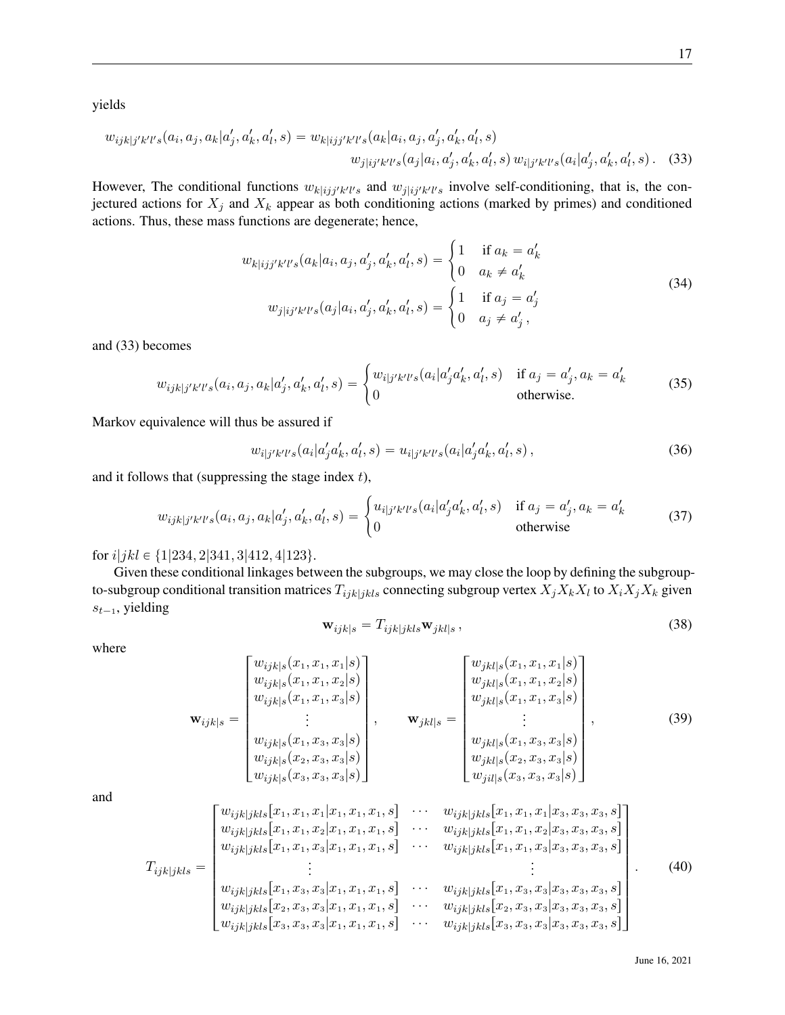yields

$$
w_{ijk|j'k'l's}(a_i, a_j, a_k|a'_j, a'_k, a'_l, s) = w_{k|ijj'k'l's}(a_k|a_i, a_j, a'_j, a'_k, a'_l, s)
$$
  

$$
w_{j|ij'k'l's}(a_j|a_i, a'_j, a'_k, a'_l, s) w_{i|j'k'l's}(a_i|a'_j, a'_k, a'_l, s).
$$
 (33)

However, The conditional functions  $w_{k|ijj'k'l's}$  and  $w_{j|ij'k'l's}$  involve self-conditioning, that is, the conjectured actions for  $X_j$  and  $X_k$  appear as both conditioning actions (marked by primes) and conditioned actions. Thus, these mass functions are degenerate; hence,

$$
w_{k|ijj'k'l's}(a_k|a_i, a_j, a'_j, a'_k, a'_l, s) = \begin{cases} 1 & \text{if } a_k = a'_k \\ 0 & a_k \neq a'_k \end{cases}
$$
  

$$
w_{j|ij'k'l's}(a_j|a_i, a'_j, a'_k, a'_l, s) = \begin{cases} 1 & \text{if } a_j = a'_j \\ 0 & a_j \neq a'_j \end{cases}
$$
  
(34)

and (33) becomes

$$
w_{ijk|j'k'l's}(a_i, a_j, a_k|a'_j, a'_k, a'_l, s) = \begin{cases} w_{i|j'k'l's}(a_i|a'_j a'_k, a'_l, s) & \text{if } a_j = a'_j, a_k = a'_k\\ 0 & \text{otherwise.} \end{cases}
$$
(35)

Markov equivalence will thus be assured if

$$
w_{i|j'k'l's}(a_i|a'_j a'_k, a'_l, s) = u_{i|j'k'l's}(a_i|a'_j a'_k, a'_l, s),
$$
\n(36)

and it follows that (suppressing the stage index  $t$ ),

$$
w_{ijk|j'k'l's}(a_i, a_j, a_k|a'_j, a'_k, a'_l, s) = \begin{cases} u_{i|j'k'l's}(a_i|a'_j a'_k, a'_l, s) & \text{if } a_j = a'_j, a_k = a'_k\\ 0 & \text{otherwise} \end{cases}
$$
(37)

for  $i|jkl \in \{1|234, 2|341, 3|412, 4|123\}.$ 

Given these conditional linkages between the subgroups, we may close the loop by defining the subgroupto-subgroup conditional transition matrices  $T_{ijk|jkls}$  connecting subgroup vertex  $X_jX_kX_l$  to  $X_iX_jX_k$  given  $s_{t-1}$ , yielding

$$
\mathbf{w}_{ijk|s} = T_{ijk|jkls} \mathbf{w}_{jkl|s} , \qquad (38)
$$

where

$$
\mathbf{w}_{ijk|s} = \begin{bmatrix} w_{ijk|s}(x_1, x_1, x_1|s) \\ w_{ijk|s}(x_1, x_1, x_2|s) \\ w_{ijk|s}(x_1, x_1, x_3|s) \\ \vdots \\ w_{ijk|s}(x_1, x_3, x_3|s) \\ w_{ijk|s}(x_2, x_3, x_3|s) \end{bmatrix}, \quad \mathbf{w}_{jkl|s} = \begin{bmatrix} w_{jkl|s}(x_1, x_1, x_1|s) \\ w_{jkl|s}(x_1, x_1, x_2|s) \\ w_{jkl|s}(x_1, x_1, x_3|s) \\ \vdots \\ w_{jkl|s}(x_1, x_3, x_3|s) \\ w_{jkl|s}(x_2, x_3, x_3|s) \end{bmatrix}, \quad (39)
$$
\n
$$
\begin{bmatrix} w_{ijk|jkls}(x_1, x_1, x_1, x_1, x_1, x_1, s) & \cdots & w_{ijk|jkls}(x_1, x_1, x_1, x_3, x_3, s) \\ w_{jkl|s}(x_3, x_3, x_3|s) \end{bmatrix} \begin{bmatrix} w_{ijk|jkls}(x_1, x_1, x_1, x_1, x_1, x_1, s) & \cdots & w_{ijk|jkls}(x_1, x_1, x_1, x_2|x_3, x_3, x_3, s) \\ w_{ijk|jkls}(x_1, x_1, x_2|x_1, x_1, x_1, s) & \cdots & w_{ijk|jkls}(x_1, x_1, x_2|x_3, x_3, x_3, s) \\ w_{ijk|jkls}(x_1, x_1, x_3|x_3, x_3, x_3, s) & \cdots & w_{ijk|jkls}(x_1, x_1, x_3|x_3, x_3, x_3, s) \end{bmatrix}
$$

and

$$
T_{ijk|jkls} = \begin{bmatrix} x_{ijk|jkls} & x_{ijk|jkls} & x_{ijk|jkls} & x_{ijk|jkls} & x_{ijk|jkls} & x_{ijk|jkls} & x_{ijk|jkls} & x_{ijk|jkls} & x_{ijk|jkls} & x_{ijk|jkls} & x_{ijk|jkls} & x_{ijk|jkls} & x_{ijk|jkls} & x_{ijk|jkls} & x_{ijk|jkls} & x_{ijk|jkls} & x_{ijk|jkls} & x_{ijk|jkls} & x_{ijk|jkls} & x_{ijk|jkls} & x_{ijk|jkls} & x_{ijk|jkls} & x_{ijk|jkls} & x_{ijk|jkls} & x_{ijk|jkls} & x_{ijk|jkls} & x_{ijk|jkls} & x_{ijk|jkls} & x_{ijk|jkls} & x_{ijk|jkls} & x_{ijk|jkls} & x_{ijk|jkls} & x_{ijk|jkls} & x_{ijk|jkls} & x_{ijk|jkls} & x_{ijk|jkls} & x_{ijk|jkls} & x_{ijk|jkls} & x_{ijk|jkls} & x_{ijk|jkls} & x_{ijk|jkls} & x_{ijk|jkls} & x_{ijk|jkls} & x_{ijk|jkls} & x_{ijk|jkls} & x_{ijk|jkls} & x_{ijk|jkls} & x_{ijk|jkls} & x_{ijk|jkls} & x_{ijk|jkls} & x_{ijk|jkls} & x_{ijk|jkls} & x_{ijk|jkls} & x_{ijk|jkls} & x_{ijk|jkls} & x_{ijk|jkls} & x_{ijk|jkls} & x_{ijk|jkls} & x_{ijk|jkls} & x_{ijk|jkls} & x_{ijk|jkls} & x_{ijk|jkls} & x_{ijk|jkls} & x_{ijk|jkls} & x_{ijk|jkls} & x_{ijk|jkls} & x_{ijk|jkls} & x_{ijk|jkls
$$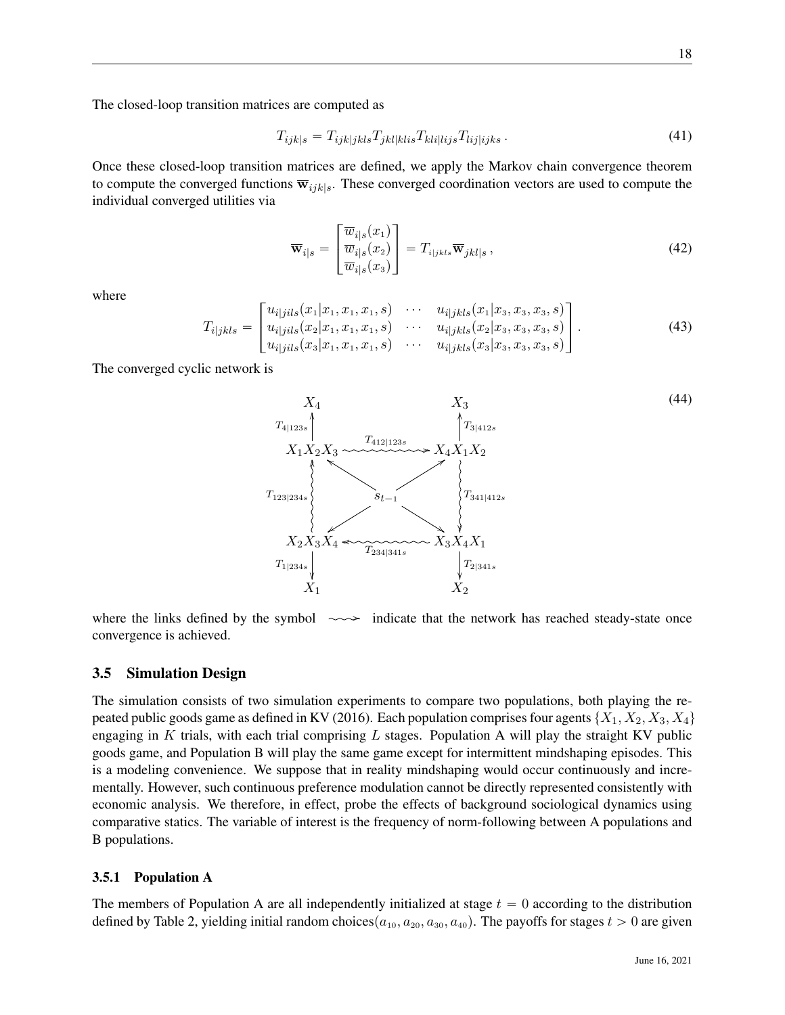The closed-loop transition matrices are computed as

»

$$
T_{ijk|s} = T_{ijk|jkls} T_{jkl|klis} T_{kli|ljs} T_{lij|ijks}.
$$
\n(41)

Once these closed-loop transition matrices are defined, we apply the Markov chain convergence theorem to compute the converged functions  $\overline{\mathbf{w}}_{ijk|s}$ . These converged coordination vectors are used to compute the individual converged utilities via

$$
\overline{\mathbf{w}}_{i|s} = \begin{bmatrix} \overline{w}_{i|s}(x_1) \\ \overline{w}_{i|s}(x_2) \\ \overline{w}_{i|s}(x_3) \end{bmatrix} = T_{i|jkls} \overline{\mathbf{w}}_{jkl|s},
$$
\n(42)

fi

where

$$
T_{i|jkls} = \begin{bmatrix} u_{i|jils}(x_1|x_1, x_1, x_1, s) & \cdots & u_{i|jkls}(x_1|x_3, x_3, x_3, s) \\ u_{i|jils}(x_2|x_1, x_1, x_1, s) & \cdots & u_{i|jkls}(x_2|x_3, x_3, x_3, s) \\ u_{i|jils}(x_3|x_1, x_1, x_1, s) & \cdots & u_{i|jkls}(x_3|x_3, x_3, x_3, s) \end{bmatrix} . \tag{43}
$$

The converged cyclic network is



where the links defined by the symbol  $\sim$  indicate that the network has reached steady-state once convergence is achieved.

#### 3.5 Simulation Design

The simulation consists of two simulation experiments to compare two populations, both playing the repeated public goods game as defined in KV (2016). Each population comprises four agents  $\{X_1, X_2, X_3, X_4\}$ engaging in  $K$  trials, with each trial comprising  $L$  stages. Population A will play the straight KV public goods game, and Population B will play the same game except for intermittent mindshaping episodes. This is a modeling convenience. We suppose that in reality mindshaping would occur continuously and incrementally. However, such continuous preference modulation cannot be directly represented consistently with economic analysis. We therefore, in effect, probe the effects of background sociological dynamics using comparative statics. The variable of interest is the frequency of norm-following between A populations and B populations.

#### 3.5.1 Population A

The members of Population A are all independently initialized at stage  $t = 0$  according to the distribution defined by Table 2, yielding initial random choices  $(a_{10}, a_{20}, a_{30}, a_{40})$ . The payoffs for stages  $t > 0$  are given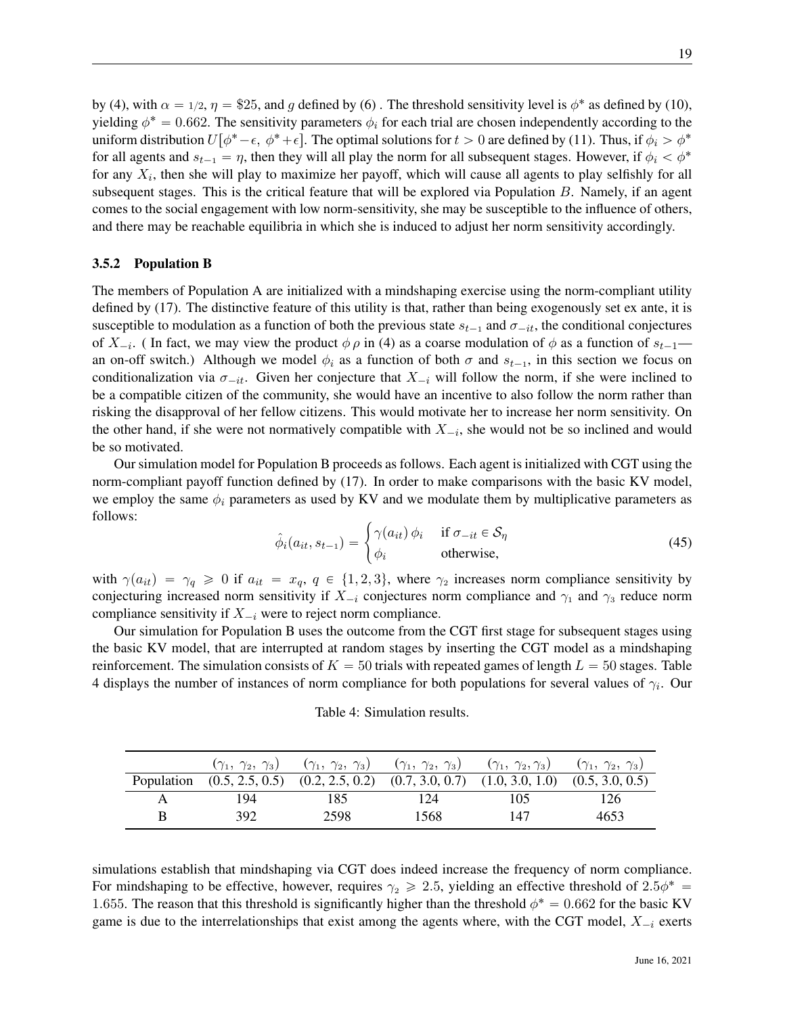by (4), with  $\alpha = 1/2$ ,  $\eta = $25$ , and g defined by (6). The threshold sensitivity level is  $\phi^*$  as defined by (10), yielding  $\phi^* = 0.662$ . The sensitivity parameters  $\phi_i$  for each trial are chosen independently according to the uniform distribution  $U[\phi^*-\epsilon, \phi^*+\epsilon]$ . The optimal solutions for  $t>0$  are defined by (11). Thus, if  $\phi_i > \phi^*$ for all agents and  $s_{t-1} = \eta$ , then they will all play the norm for all subsequent stages. However, if  $\phi_i < \phi^*$ for any  $X_i$ , then she will play to maximize her payoff, which will cause all agents to play selfishly for all subsequent stages. This is the critical feature that will be explored via Population  $B$ . Namely, if an agent comes to the social engagement with low norm-sensitivity, she may be susceptible to the influence of others, and there may be reachable equilibria in which she is induced to adjust her norm sensitivity accordingly.

#### 3.5.2 Population B

The members of Population A are initialized with a mindshaping exercise using the norm-compliant utility defined by (17). The distinctive feature of this utility is that, rather than being exogenously set ex ante, it is susceptible to modulation as a function of both the previous state  $s_{t-1}$  and  $\sigma_{-it}$ , the conditional conjectures of  $X_{-i}$ . (In fact, we may view the product  $\phi \rho$  in (4) as a coarse modulation of  $\phi$  as a function of  $s_{t-1}$  an on-off switch.) Although we model  $\phi_i$  as a function of both  $\sigma$  and  $s_{t-1}$ , in this section we focus on conditionalization via  $\sigma_{-it}$ . Given her conjecture that  $X_{-i}$  will follow the norm, if she were inclined to be a compatible citizen of the community, she would have an incentive to also follow the norm rather than risking the disapproval of her fellow citizens. This would motivate her to increase her norm sensitivity. On the other hand, if she were not normatively compatible with  $X_{-i}$ , she would not be so inclined and would be so motivated.

Our simulation model for Population B proceeds as follows. Each agent is initialized with CGT using the norm-compliant payoff function defined by (17). In order to make comparisons with the basic KV model, we employ the same  $\phi_i$  parameters as used by KV and we modulate them by multiplicative parameters as follows:

$$
\hat{\phi}_i(a_{it}, s_{t-1}) = \begin{cases} \gamma(a_{it}) \, \phi_i & \text{if } \sigma_{-it} \in \mathcal{S}_\eta \\ \phi_i & \text{otherwise,} \end{cases} \tag{45}
$$

with  $\gamma(a_{it}) = \gamma_q \geq 0$  if  $a_{it} = x_q, q \in \{1, 2, 3\}$ , where  $\gamma_2$  increases norm compliance sensitivity by conjecturing increased norm sensitivity if  $X_{-i}$  conjectures norm compliance and  $\gamma_1$  and  $\gamma_3$  reduce norm compliance sensitivity if  $X_{-i}$  were to reject norm compliance.

Our simulation for Population B uses the outcome from the CGT first stage for subsequent stages using the basic KV model, that are interrupted at random stages by inserting the CGT model as a mindshaping reinforcement. The simulation consists of  $K = 50$  trials with repeated games of length  $L = 50$  stages. Table 4 displays the number of instances of norm compliance for both populations for several values of  $\gamma_i$ . Our

|                                                                                                      | $(\gamma_1, \gamma_2, \gamma_3)$ $(\gamma_1, \gamma_2, \gamma_3)$ $(\gamma_1, \gamma_2, \gamma_3)$ $(\gamma_1, \gamma_2, \gamma_3)$ $(\gamma_1, \gamma_2, \gamma_3)$ |      |     |      |
|------------------------------------------------------------------------------------------------------|----------------------------------------------------------------------------------------------------------------------------------------------------------------------|------|-----|------|
| Population $(0.5, 2.5, 0.5)$ $(0.2, 2.5, 0.2)$ $(0.7, 3.0, 0.7)$ $(1.0, 3.0, 1.0)$ $(0.5, 3.0, 0.5)$ |                                                                                                                                                                      |      |     |      |
| 194                                                                                                  | 185.                                                                                                                                                                 | 124  | 105 | 126  |
| 392.                                                                                                 | 2598                                                                                                                                                                 | 1568 | 147 | 4653 |

Table 4: Simulation results.

simulations establish that mindshaping via CGT does indeed increase the frequency of norm compliance. For mindshaping to be effective, however, requires  $\gamma_2 \geq 2.5$ , yielding an effective threshold of  $2.5\phi^*$  = 1.655. The reason that this threshold is significantly higher than the threshold  $\phi^* = 0.662$  for the basic KV game is due to the interrelationships that exist among the agents where, with the CGT model,  $X_{-i}$  exerts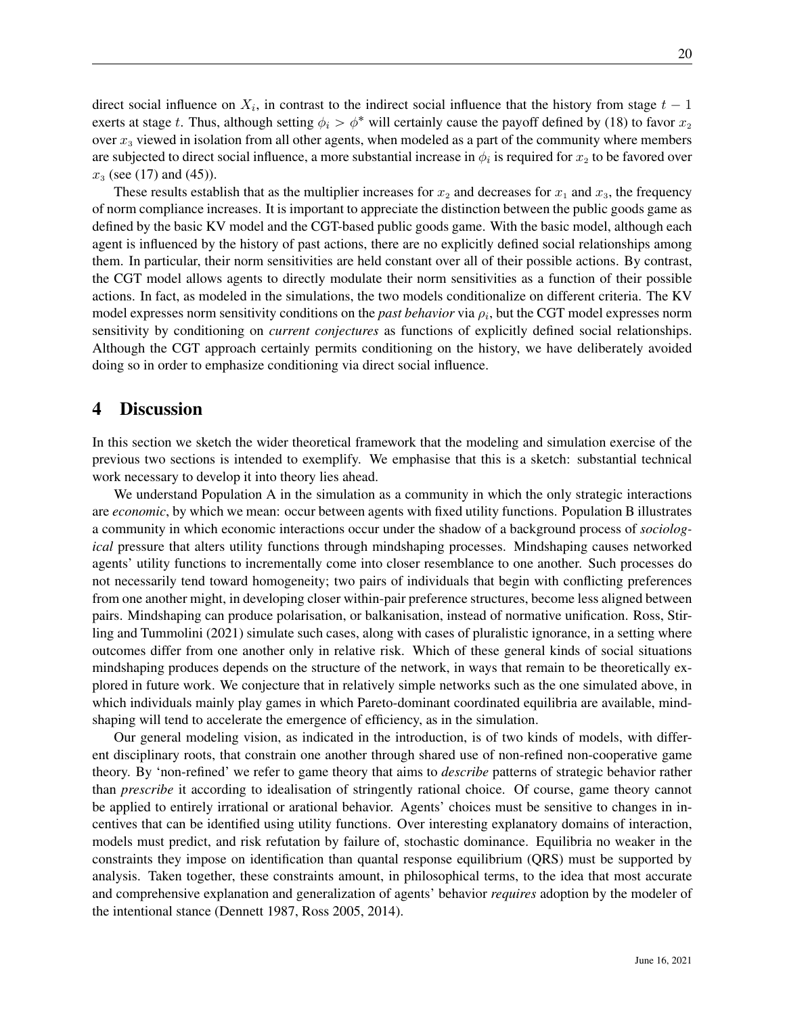direct social influence on  $X_i$ , in contrast to the indirect social influence that the history from stage  $t-1$ exerts at stage t. Thus, although setting  $\phi_i > \phi^*$  will certainly cause the payoff defined by (18) to favor  $x_2$ over  $x_3$  viewed in isolation from all other agents, when modeled as a part of the community where members are subjected to direct social influence, a more substantial increase in  $\phi_i$  is required for  $x_2$  to be favored over  $x_3$  (see (17) and (45)).

These results establish that as the multiplier increases for  $x_2$  and decreases for  $x_1$  and  $x_3$ , the frequency of norm compliance increases. It is important to appreciate the distinction between the public goods game as defined by the basic KV model and the CGT-based public goods game. With the basic model, although each agent is influenced by the history of past actions, there are no explicitly defined social relationships among them. In particular, their norm sensitivities are held constant over all of their possible actions. By contrast, the CGT model allows agents to directly modulate their norm sensitivities as a function of their possible actions. In fact, as modeled in the simulations, the two models conditionalize on different criteria. The KV model expresses norm sensitivity conditions on the *past behavior* via  $\rho_i$ , but the CGT model expresses norm sensitivity by conditioning on *current conjectures* as functions of explicitly defined social relationships. Although the CGT approach certainly permits conditioning on the history, we have deliberately avoided doing so in order to emphasize conditioning via direct social influence.

### 4 Discussion

In this section we sketch the wider theoretical framework that the modeling and simulation exercise of the previous two sections is intended to exemplify. We emphasise that this is a sketch: substantial technical work necessary to develop it into theory lies ahead.

We understand Population A in the simulation as a community in which the only strategic interactions are *economic*, by which we mean: occur between agents with fixed utility functions. Population B illustrates a community in which economic interactions occur under the shadow of a background process of *sociological* pressure that alters utility functions through mindshaping processes. Mindshaping causes networked agents' utility functions to incrementally come into closer resemblance to one another. Such processes do not necessarily tend toward homogeneity; two pairs of individuals that begin with conflicting preferences from one another might, in developing closer within-pair preference structures, become less aligned between pairs. Mindshaping can produce polarisation, or balkanisation, instead of normative unification. Ross, Stirling and Tummolini (2021) simulate such cases, along with cases of pluralistic ignorance, in a setting where outcomes differ from one another only in relative risk. Which of these general kinds of social situations mindshaping produces depends on the structure of the network, in ways that remain to be theoretically explored in future work. We conjecture that in relatively simple networks such as the one simulated above, in which individuals mainly play games in which Pareto-dominant coordinated equilibria are available, mindshaping will tend to accelerate the emergence of efficiency, as in the simulation.

Our general modeling vision, as indicated in the introduction, is of two kinds of models, with different disciplinary roots, that constrain one another through shared use of non-refined non-cooperative game theory. By 'non-refined' we refer to game theory that aims to *describe* patterns of strategic behavior rather than *prescribe* it according to idealisation of stringently rational choice. Of course, game theory cannot be applied to entirely irrational or arational behavior. Agents' choices must be sensitive to changes in incentives that can be identified using utility functions. Over interesting explanatory domains of interaction, models must predict, and risk refutation by failure of, stochastic dominance. Equilibria no weaker in the constraints they impose on identification than quantal response equilibrium (QRS) must be supported by analysis. Taken together, these constraints amount, in philosophical terms, to the idea that most accurate and comprehensive explanation and generalization of agents' behavior *requires* adoption by the modeler of the intentional stance (Dennett 1987, Ross 2005, 2014).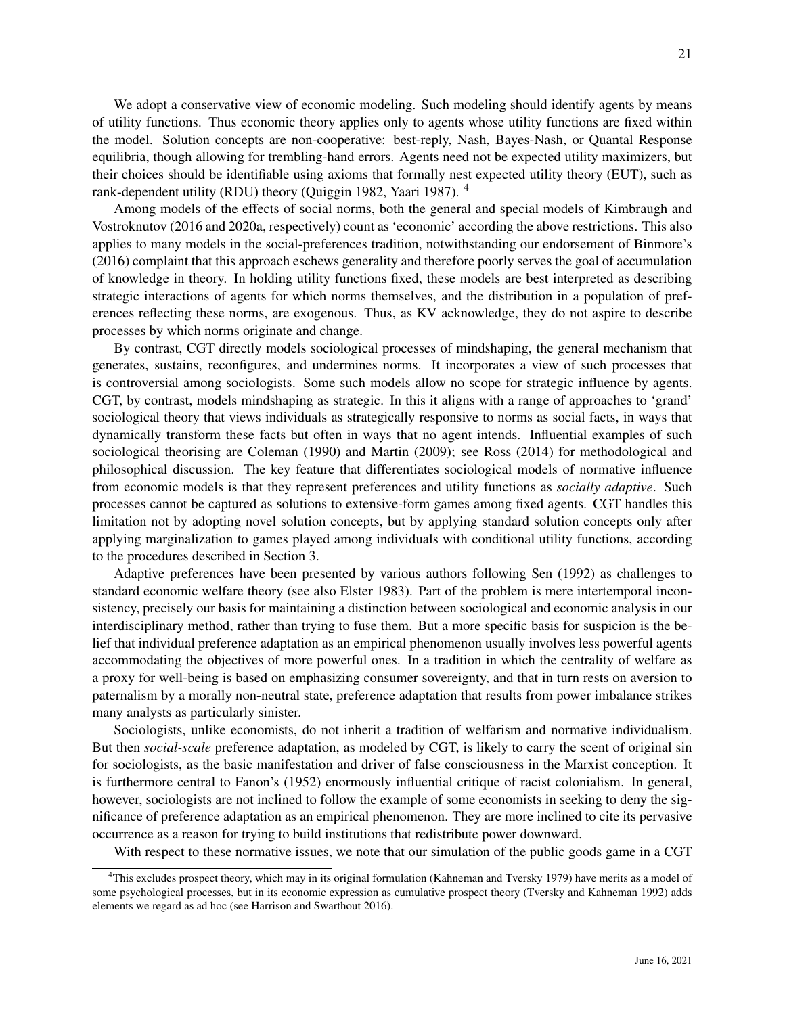We adopt a conservative view of economic modeling. Such modeling should identify agents by means of utility functions. Thus economic theory applies only to agents whose utility functions are fixed within the model. Solution concepts are non-cooperative: best-reply, Nash, Bayes-Nash, or Quantal Response equilibria, though allowing for trembling-hand errors. Agents need not be expected utility maximizers, but their choices should be identifiable using axioms that formally nest expected utility theory (EUT), such as rank-dependent utility (RDU) theory (Quiggin 1982, Yaari 1987). <sup>4</sup>

Among models of the effects of social norms, both the general and special models of Kimbraugh and Vostroknutov (2016 and 2020a, respectively) count as 'economic' according the above restrictions. This also applies to many models in the social-preferences tradition, notwithstanding our endorsement of Binmore's (2016) complaint that this approach eschews generality and therefore poorly serves the goal of accumulation of knowledge in theory. In holding utility functions fixed, these models are best interpreted as describing strategic interactions of agents for which norms themselves, and the distribution in a population of preferences reflecting these norms, are exogenous. Thus, as KV acknowledge, they do not aspire to describe processes by which norms originate and change.

By contrast, CGT directly models sociological processes of mindshaping, the general mechanism that generates, sustains, reconfigures, and undermines norms. It incorporates a view of such processes that is controversial among sociologists. Some such models allow no scope for strategic influence by agents. CGT, by contrast, models mindshaping as strategic. In this it aligns with a range of approaches to 'grand' sociological theory that views individuals as strategically responsive to norms as social facts, in ways that dynamically transform these facts but often in ways that no agent intends. Influential examples of such sociological theorising are Coleman (1990) and Martin (2009); see Ross (2014) for methodological and philosophical discussion. The key feature that differentiates sociological models of normative influence from economic models is that they represent preferences and utility functions as *socially adaptive*. Such processes cannot be captured as solutions to extensive-form games among fixed agents. CGT handles this limitation not by adopting novel solution concepts, but by applying standard solution concepts only after applying marginalization to games played among individuals with conditional utility functions, according to the procedures described in Section 3.

Adaptive preferences have been presented by various authors following Sen (1992) as challenges to standard economic welfare theory (see also Elster 1983). Part of the problem is mere intertemporal inconsistency, precisely our basis for maintaining a distinction between sociological and economic analysis in our interdisciplinary method, rather than trying to fuse them. But a more specific basis for suspicion is the belief that individual preference adaptation as an empirical phenomenon usually involves less powerful agents accommodating the objectives of more powerful ones. In a tradition in which the centrality of welfare as a proxy for well-being is based on emphasizing consumer sovereignty, and that in turn rests on aversion to paternalism by a morally non-neutral state, preference adaptation that results from power imbalance strikes many analysts as particularly sinister.

Sociologists, unlike economists, do not inherit a tradition of welfarism and normative individualism. But then *social-scale* preference adaptation, as modeled by CGT, is likely to carry the scent of original sin for sociologists, as the basic manifestation and driver of false consciousness in the Marxist conception. It is furthermore central to Fanon's (1952) enormously influential critique of racist colonialism. In general, however, sociologists are not inclined to follow the example of some economists in seeking to deny the significance of preference adaptation as an empirical phenomenon. They are more inclined to cite its pervasive occurrence as a reason for trying to build institutions that redistribute power downward.

With respect to these normative issues, we note that our simulation of the public goods game in a CGT

<sup>4</sup>This excludes prospect theory, which may in its original formulation (Kahneman and Tversky 1979) have merits as a model of some psychological processes, but in its economic expression as cumulative prospect theory (Tversky and Kahneman 1992) adds elements we regard as ad hoc (see Harrison and Swarthout 2016).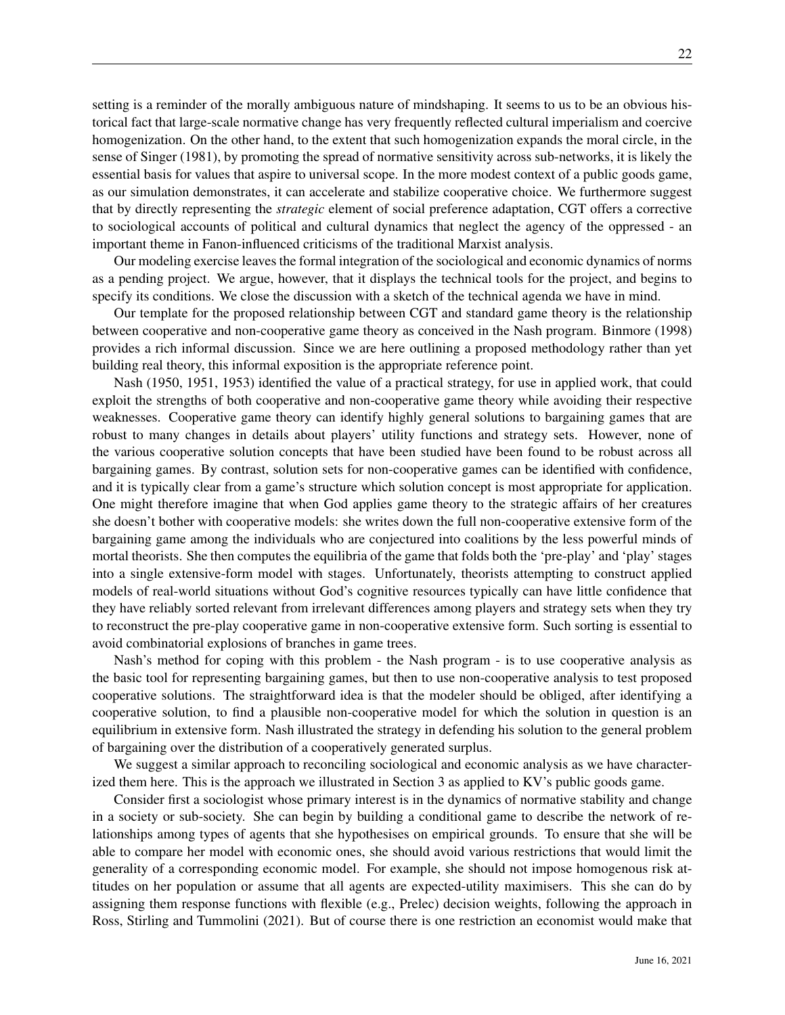setting is a reminder of the morally ambiguous nature of mindshaping. It seems to us to be an obvious historical fact that large-scale normative change has very frequently reflected cultural imperialism and coercive homogenization. On the other hand, to the extent that such homogenization expands the moral circle, in the sense of Singer (1981), by promoting the spread of normative sensitivity across sub-networks, it is likely the essential basis for values that aspire to universal scope. In the more modest context of a public goods game, as our simulation demonstrates, it can accelerate and stabilize cooperative choice. We furthermore suggest that by directly representing the *strategic* element of social preference adaptation, CGT offers a corrective to sociological accounts of political and cultural dynamics that neglect the agency of the oppressed - an important theme in Fanon-influenced criticisms of the traditional Marxist analysis.

Our modeling exercise leaves the formal integration of the sociological and economic dynamics of norms as a pending project. We argue, however, that it displays the technical tools for the project, and begins to specify its conditions. We close the discussion with a sketch of the technical agenda we have in mind.

Our template for the proposed relationship between CGT and standard game theory is the relationship between cooperative and non-cooperative game theory as conceived in the Nash program. Binmore (1998) provides a rich informal discussion. Since we are here outlining a proposed methodology rather than yet building real theory, this informal exposition is the appropriate reference point.

Nash (1950, 1951, 1953) identified the value of a practical strategy, for use in applied work, that could exploit the strengths of both cooperative and non-cooperative game theory while avoiding their respective weaknesses. Cooperative game theory can identify highly general solutions to bargaining games that are robust to many changes in details about players' utility functions and strategy sets. However, none of the various cooperative solution concepts that have been studied have been found to be robust across all bargaining games. By contrast, solution sets for non-cooperative games can be identified with confidence, and it is typically clear from a game's structure which solution concept is most appropriate for application. One might therefore imagine that when God applies game theory to the strategic affairs of her creatures she doesn't bother with cooperative models: she writes down the full non-cooperative extensive form of the bargaining game among the individuals who are conjectured into coalitions by the less powerful minds of mortal theorists. She then computes the equilibria of the game that folds both the 'pre-play' and 'play' stages into a single extensive-form model with stages. Unfortunately, theorists attempting to construct applied models of real-world situations without God's cognitive resources typically can have little confidence that they have reliably sorted relevant from irrelevant differences among players and strategy sets when they try to reconstruct the pre-play cooperative game in non-cooperative extensive form. Such sorting is essential to avoid combinatorial explosions of branches in game trees.

Nash's method for coping with this problem - the Nash program - is to use cooperative analysis as the basic tool for representing bargaining games, but then to use non-cooperative analysis to test proposed cooperative solutions. The straightforward idea is that the modeler should be obliged, after identifying a cooperative solution, to find a plausible non-cooperative model for which the solution in question is an equilibrium in extensive form. Nash illustrated the strategy in defending his solution to the general problem of bargaining over the distribution of a cooperatively generated surplus.

We suggest a similar approach to reconciling sociological and economic analysis as we have characterized them here. This is the approach we illustrated in Section 3 as applied to KV's public goods game.

Consider first a sociologist whose primary interest is in the dynamics of normative stability and change in a society or sub-society. She can begin by building a conditional game to describe the network of relationships among types of agents that she hypothesises on empirical grounds. To ensure that she will be able to compare her model with economic ones, she should avoid various restrictions that would limit the generality of a corresponding economic model. For example, she should not impose homogenous risk attitudes on her population or assume that all agents are expected-utility maximisers. This she can do by assigning them response functions with flexible (e.g., Prelec) decision weights, following the approach in Ross, Stirling and Tummolini (2021). But of course there is one restriction an economist would make that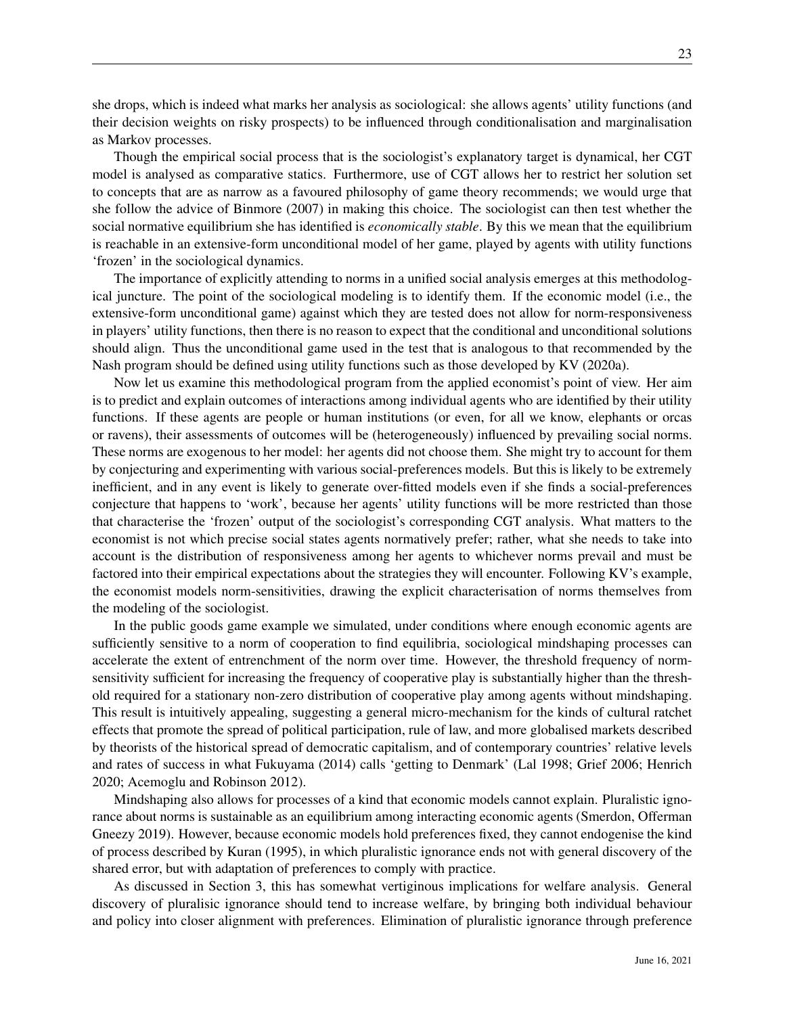she drops, which is indeed what marks her analysis as sociological: she allows agents' utility functions (and their decision weights on risky prospects) to be influenced through conditionalisation and marginalisation as Markov processes.

Though the empirical social process that is the sociologist's explanatory target is dynamical, her CGT model is analysed as comparative statics. Furthermore, use of CGT allows her to restrict her solution set to concepts that are as narrow as a favoured philosophy of game theory recommends; we would urge that she follow the advice of Binmore (2007) in making this choice. The sociologist can then test whether the social normative equilibrium she has identified is *economically stable*. By this we mean that the equilibrium is reachable in an extensive-form unconditional model of her game, played by agents with utility functions 'frozen' in the sociological dynamics.

The importance of explicitly attending to norms in a unified social analysis emerges at this methodological juncture. The point of the sociological modeling is to identify them. If the economic model (i.e., the extensive-form unconditional game) against which they are tested does not allow for norm-responsiveness in players' utility functions, then there is no reason to expect that the conditional and unconditional solutions should align. Thus the unconditional game used in the test that is analogous to that recommended by the Nash program should be defined using utility functions such as those developed by KV (2020a).

Now let us examine this methodological program from the applied economist's point of view. Her aim is to predict and explain outcomes of interactions among individual agents who are identified by their utility functions. If these agents are people or human institutions (or even, for all we know, elephants or orcas or ravens), their assessments of outcomes will be (heterogeneously) influenced by prevailing social norms. These norms are exogenous to her model: her agents did not choose them. She might try to account for them by conjecturing and experimenting with various social-preferences models. But this is likely to be extremely inefficient, and in any event is likely to generate over-fitted models even if she finds a social-preferences conjecture that happens to 'work', because her agents' utility functions will be more restricted than those that characterise the 'frozen' output of the sociologist's corresponding CGT analysis. What matters to the economist is not which precise social states agents normatively prefer; rather, what she needs to take into account is the distribution of responsiveness among her agents to whichever norms prevail and must be factored into their empirical expectations about the strategies they will encounter. Following KV's example, the economist models norm-sensitivities, drawing the explicit characterisation of norms themselves from the modeling of the sociologist.

In the public goods game example we simulated, under conditions where enough economic agents are sufficiently sensitive to a norm of cooperation to find equilibria, sociological mindshaping processes can accelerate the extent of entrenchment of the norm over time. However, the threshold frequency of normsensitivity sufficient for increasing the frequency of cooperative play is substantially higher than the threshold required for a stationary non-zero distribution of cooperative play among agents without mindshaping. This result is intuitively appealing, suggesting a general micro-mechanism for the kinds of cultural ratchet effects that promote the spread of political participation, rule of law, and more globalised markets described by theorists of the historical spread of democratic capitalism, and of contemporary countries' relative levels and rates of success in what Fukuyama (2014) calls 'getting to Denmark' (Lal 1998; Grief 2006; Henrich 2020; Acemoglu and Robinson 2012).

Mindshaping also allows for processes of a kind that economic models cannot explain. Pluralistic ignorance about norms is sustainable as an equilibrium among interacting economic agents (Smerdon, Offerman Gneezy 2019). However, because economic models hold preferences fixed, they cannot endogenise the kind of process described by Kuran (1995), in which pluralistic ignorance ends not with general discovery of the shared error, but with adaptation of preferences to comply with practice.

As discussed in Section 3, this has somewhat vertiginous implications for welfare analysis. General discovery of pluralisic ignorance should tend to increase welfare, by bringing both individual behaviour and policy into closer alignment with preferences. Elimination of pluralistic ignorance through preference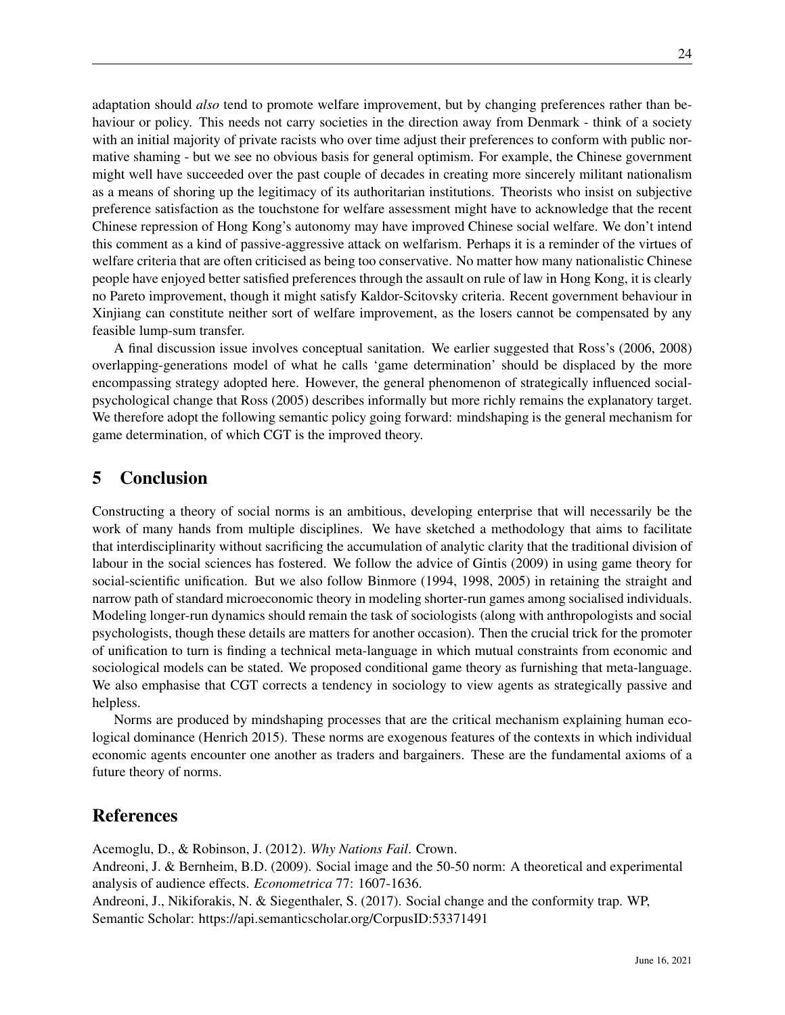adaptation should *also* tend to promote welfare improvement, but by changing preferences rather than behaviour or policy. This needs not carry societies in the direction away from Denmark - think of a society with an initial majority of private racists who over time adjust their preferences to conform with public normative shaming - but we see no obvious basis for general optimism. For example, the Chinese government might well have succeeded over the past couple of decades in creating more sincerely militant nationalism as a means of shoring up the legitimacy of its authoritarian institutions. Theorists who insist on subjective preference satisfaction as the touchstone for welfare assessment might have to acknowledge that the recent Chinese repression of Hong Kong's autonomy may have improved Chinese social welfare. We don't intend this comment as a kind of passive-aggressive attack on welfarism. Perhaps it is a reminder of the virtues of welfare criteria that are often criticised as being too conservative. No matter how many nationalistic Chinese people have enjoyed better satisfied preferences through the assault on rule of law in Hong Kong, it is clearly no Pareto improvement, though it might satisfy Kaldor-Scitovsky criteria. Recent government behaviour in Xinjiang can constitute neither sort of welfare improvement, as the losers cannot be compensated by any feasible lump-sum transfer.

A final discussion issue involves conceptual sanitation. We earlier suggested that Ross's (2006, 2008) overlapping-generations model of what he calls 'game determination' should be displaced by the more encompassing strategy adopted here. However, the general phenomenon of strategically influenced socialpsychological change that Ross (2005) describes informally but more richly remains the explanatory target. We therefore adopt the following semantic policy going forward: mindshaping is the general mechanism for game determination, of which CGT is the improved theory.

## 5 Conclusion

Constructing a theory of social norms is an ambitious, developing enterprise that will necessarily be the work of many hands from multiple disciplines. We have sketched a methodology that aims to facilitate that interdisciplinarity without sacrificing the accumulation of analytic clarity that the traditional division of labour in the social sciences has fostered. We follow the advice of Gintis (2009) in using game theory for social-scientific unification. But we also follow Binmore (1994, 1998, 2005) in retaining the straight and narrow path of standard microeconomic theory in modeling shorter-run games among socialised individuals. Modeling longer-run dynamics should remain the task of sociologists (along with anthropologists and social psychologists, though these details are matters for another occasion). Then the crucial trick for the promoter of unification to turn is finding a technical meta-language in which mutual constraints from economic and sociological models can be stated. We proposed conditional game theory as furnishing that meta-language. We also emphasise that CGT corrects a tendency in sociology to view agents as strategically passive and helpless.

Norms are produced by mindshaping processes that are the critical mechanism explaining human ecological dominance (Henrich 2015). These norms are exogenous features of the contexts in which individual economic agents encounter one another as traders and bargainers. These are the fundamental axioms of a future theory of norms.

## References

Acemoglu, D., & Robinson, J. (2012). *Why Nations Fail*. Crown. Andreoni, J. & Bernheim, B.D. (2009). Social image and the 50-50 norm: A theoretical and experimental analysis of audience effects. *Econometrica* 77: 1607-1636. Andreoni, J., Nikiforakis, N. & Siegenthaler, S. (2017). Social change and the conformity trap. WP, Semantic Scholar: https://api.semanticscholar.org/CorpusID:53371491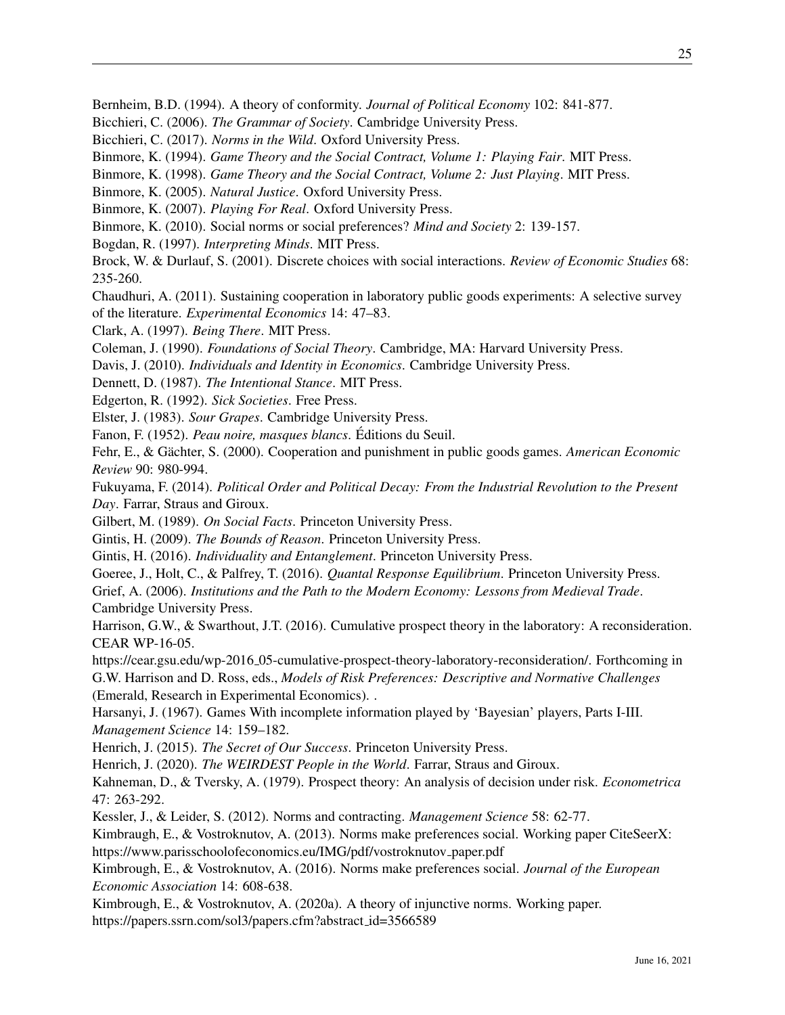Bernheim, B.D. (1994). A theory of conformity. *Journal of Political Economy* 102: 841-877.

Bicchieri, C. (2006). *The Grammar of Society*. Cambridge University Press.

Bicchieri, C. (2017). *Norms in the Wild*. Oxford University Press.

Binmore, K. (1994). *Game Theory and the Social Contract, Volume 1: Playing Fair*. MIT Press.

Binmore, K. (1998). *Game Theory and the Social Contract, Volume 2: Just Playing*. MIT Press.

Binmore, K. (2005). *Natural Justice*. Oxford University Press.

Binmore, K. (2007). *Playing For Real*. Oxford University Press.

Binmore, K. (2010). Social norms or social preferences? *Mind and Society* 2: 139-157.

Bogdan, R. (1997). *Interpreting Minds*. MIT Press.

Brock, W. & Durlauf, S. (2001). Discrete choices with social interactions. *Review of Economic Studies* 68: 235-260.

Chaudhuri, A. (2011). Sustaining cooperation in laboratory public goods experiments: A selective survey of the literature. *Experimental Economics* 14: 47–83.

Clark, A. (1997). *Being There*. MIT Press.

Coleman, J. (1990). *Foundations of Social Theory*. Cambridge, MA: Harvard University Press.

Davis, J. (2010). *Individuals and Identity in Economics*. Cambridge University Press.

Dennett, D. (1987). *The Intentional Stance*. MIT Press.

Edgerton, R. (1992). *Sick Societies*. Free Press.

Elster, J. (1983). *Sour Grapes*. Cambridge University Press.

Fanon, F. (1952). *Peau noire, masques blancs*. Editions du Seuil. ´

Fehr, E., & Gächter, S. (2000). Cooperation and punishment in public goods games. *American Economic Review* 90: 980-994.

Fukuyama, F. (2014). *Political Order and Political Decay: From the Industrial Revolution to the Present Day*. Farrar, Straus and Giroux.

Gilbert, M. (1989). *On Social Facts*. Princeton University Press.

Gintis, H. (2009). *The Bounds of Reason*. Princeton University Press.

Gintis, H. (2016). *Individuality and Entanglement*. Princeton University Press.

Goeree, J., Holt, C., & Palfrey, T. (2016). *Quantal Response Equilibrium*. Princeton University Press.

Grief, A. (2006). *Institutions and the Path to the Modern Economy: Lessons from Medieval Trade*. Cambridge University Press.

Harrison, G.W., & Swarthout, J.T. (2016). Cumulative prospect theory in the laboratory: A reconsideration. CEAR WP-16-05.

https://cear.gsu.edu/wp-2016 05-cumulative-prospect-theory-laboratory-reconsideration/. Forthcoming in G.W. Harrison and D. Ross, eds., *Models of Risk Preferences: Descriptive and Normative Challenges*

(Emerald, Research in Experimental Economics). .

Harsanyi, J. (1967). Games With incomplete information played by 'Bayesian' players, Parts I-III. *Management Science* 14: 159–182.

Henrich, J. (2015). *The Secret of Our Success*. Princeton University Press.

Henrich, J. (2020). *The WEIRDEST People in the World*. Farrar, Straus and Giroux.

Kahneman, D., & Tversky, A. (1979). Prospect theory: An analysis of decision under risk. *Econometrica* 47: 263-292.

Kessler, J., & Leider, S. (2012). Norms and contracting. *Management Science* 58: 62-77.

Kimbraugh, E., & Vostroknutov, A. (2013). Norms make preferences social. Working paper CiteSeerX: https://www.parisschoolofeconomics.eu/IMG/pdf/vostroknutov\_paper.pdf

Kimbrough, E., & Vostroknutov, A. (2016). Norms make preferences social. *Journal of the European Economic Association* 14: 608-638.

Kimbrough, E., & Vostroknutov, A. (2020a). A theory of injunctive norms. Working paper. https://papers.ssrn.com/sol3/papers.cfm?abstract id=3566589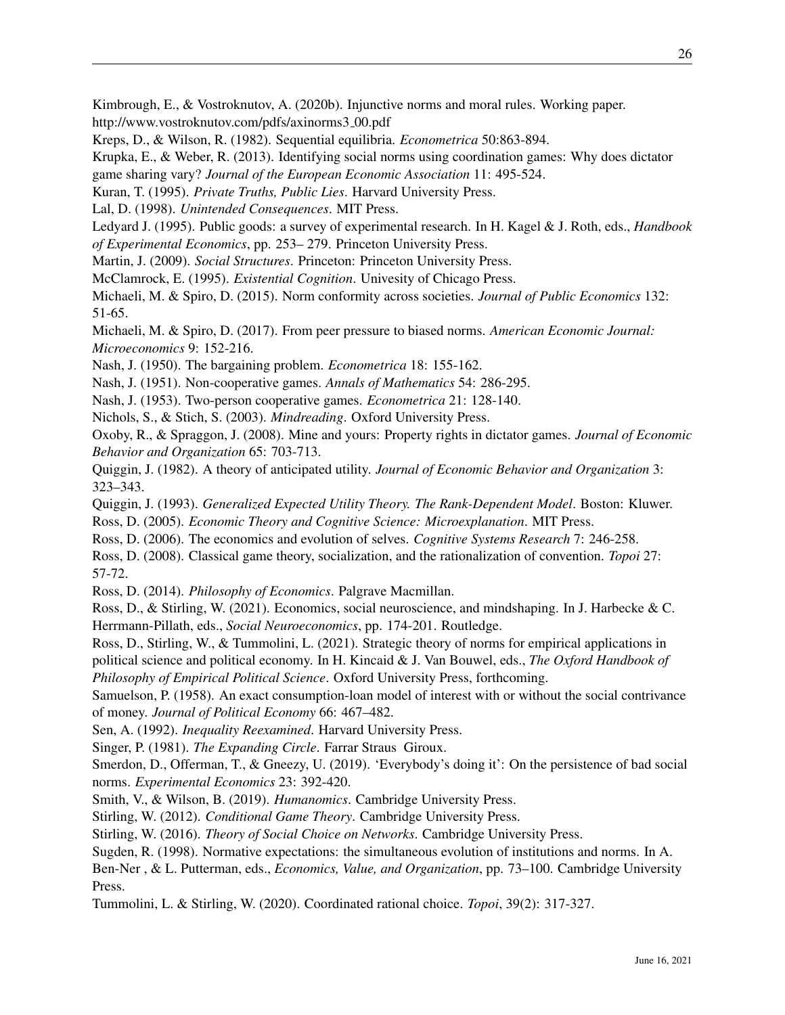Kimbrough, E., & Vostroknutov, A. (2020b). Injunctive norms and moral rules. Working paper.

http://www.vostroknutov.com/pdfs/axinorms3 00.pdf

Kreps, D., & Wilson, R. (1982). Sequential equilibria. *Econometrica* 50:863-894.

Krupka, E., & Weber, R. (2013). Identifying social norms using coordination games: Why does dictator game sharing vary? *Journal of the European Economic Association* 11: 495-524.

Kuran, T. (1995). *Private Truths, Public Lies*. Harvard University Press.

Lal, D. (1998). *Unintended Consequences*. MIT Press.

Ledyard J. (1995). Public goods: a survey of experimental research. In H. Kagel & J. Roth, eds., *Handbook of Experimental Economics*, pp. 253– 279. Princeton University Press.

Martin, J. (2009). *Social Structures*. Princeton: Princeton University Press.

McClamrock, E. (1995). *Existential Cognition*. Univesity of Chicago Press.

Michaeli, M. & Spiro, D. (2015). Norm conformity across societies. *Journal of Public Economics* 132: 51-65.

Michaeli, M. & Spiro, D. (2017). From peer pressure to biased norms. *American Economic Journal: Microeconomics* 9: 152-216.

Nash, J. (1950). The bargaining problem. *Econometrica* 18: 155-162.

Nash, J. (1951). Non-cooperative games. *Annals of Mathematics* 54: 286-295.

Nash, J. (1953). Two-person cooperative games. *Econometrica* 21: 128-140.

Nichols, S., & Stich, S. (2003). *Mindreading*. Oxford University Press.

Oxoby, R., & Spraggon, J. (2008). Mine and yours: Property rights in dictator games. *Journal of Economic Behavior and Organization* 65: 703-713.

Quiggin, J. (1982). A theory of anticipated utility. *Journal of Economic Behavior and Organization* 3: 323–343.

Quiggin, J. (1993). *Generalized Expected Utility Theory. The Rank-Dependent Model*. Boston: Kluwer. Ross, D. (2005). *Economic Theory and Cognitive Science: Microexplanation*. MIT Press.

Ross, D. (2006). The economics and evolution of selves. *Cognitive Systems Research* 7: 246-258.

Ross, D. (2008). Classical game theory, socialization, and the rationalization of convention. *Topoi* 27: 57-72.

Ross, D. (2014). *Philosophy of Economics*. Palgrave Macmillan.

Ross, D., & Stirling, W. (2021). Economics, social neuroscience, and mindshaping. In J. Harbecke & C. Herrmann-Pillath, eds., *Social Neuroeconomics*, pp. 174-201. Routledge.

Ross, D., Stirling, W., & Tummolini, L. (2021). Strategic theory of norms for empirical applications in political science and political economy. In H. Kincaid & J. Van Bouwel, eds., *The Oxford Handbook of Philosophy of Empirical Political Science*. Oxford University Press, forthcoming.

Samuelson, P. (1958). An exact consumption-loan model of interest with or without the social contrivance of money. *Journal of Political Economy* 66: 467–482.

Sen, A. (1992). *Inequality Reexamined*. Harvard University Press.

Singer, P. (1981). *The Expanding Circle*. Farrar Straus Giroux.

Smerdon, D., Offerman, T., & Gneezy, U. (2019). 'Everybody's doing it': On the persistence of bad social norms. *Experimental Economics* 23: 392-420.

Smith, V., & Wilson, B. (2019). *Humanomics*. Cambridge University Press.

Stirling, W. (2012). *Conditional Game Theory*. Cambridge University Press.

Stirling, W. (2016). *Theory of Social Choice on Networks*. Cambridge University Press.

Sugden, R. (1998). Normative expectations: the simultaneous evolution of institutions and norms. In A.

Ben-Ner , & L. Putterman, eds., *Economics, Value, and Organization*, pp. 73–100. Cambridge University Press.

Tummolini, L. & Stirling, W. (2020). Coordinated rational choice. *Topoi*, 39(2): 317-327.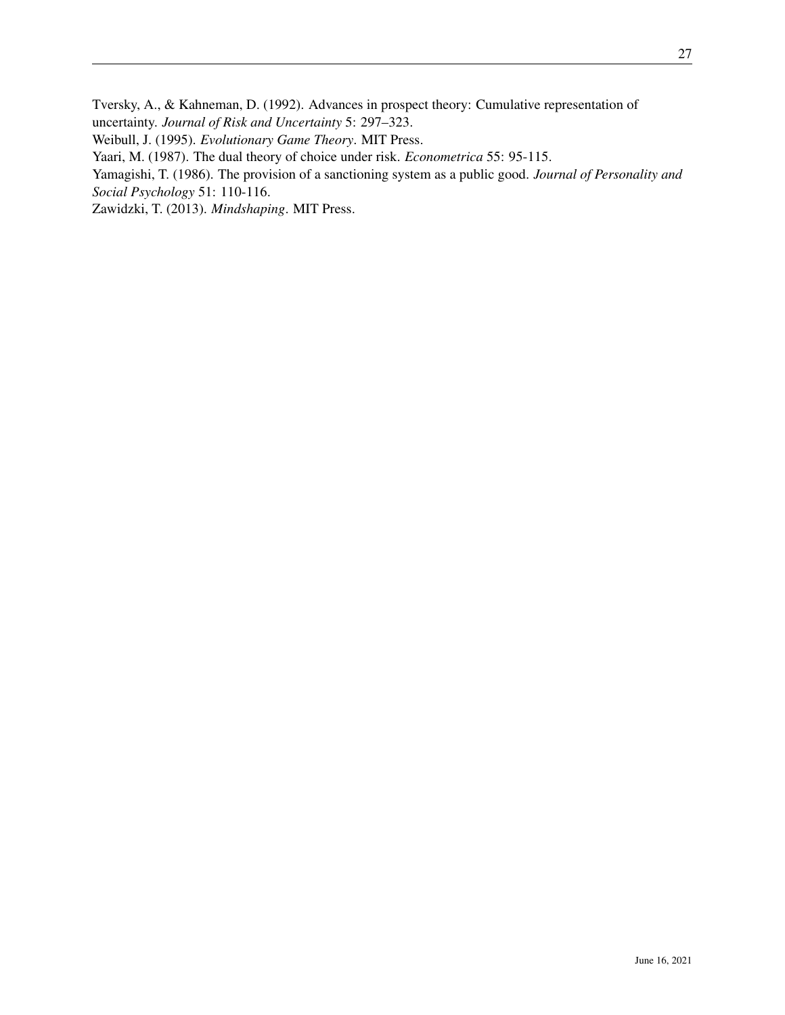Tversky, A., & Kahneman, D. (1992). Advances in prospect theory: Cumulative representation of uncertainty. *Journal of Risk and Uncertainty* 5: 297–323.

Weibull, J. (1995). *Evolutionary Game Theory*. MIT Press.

Yaari, M. (1987). The dual theory of choice under risk. *Econometrica* 55: 95-115.

Yamagishi, T. (1986). The provision of a sanctioning system as a public good. *Journal of Personality and Social Psychology* 51: 110-116.

Zawidzki, T. (2013). *Mindshaping*. MIT Press.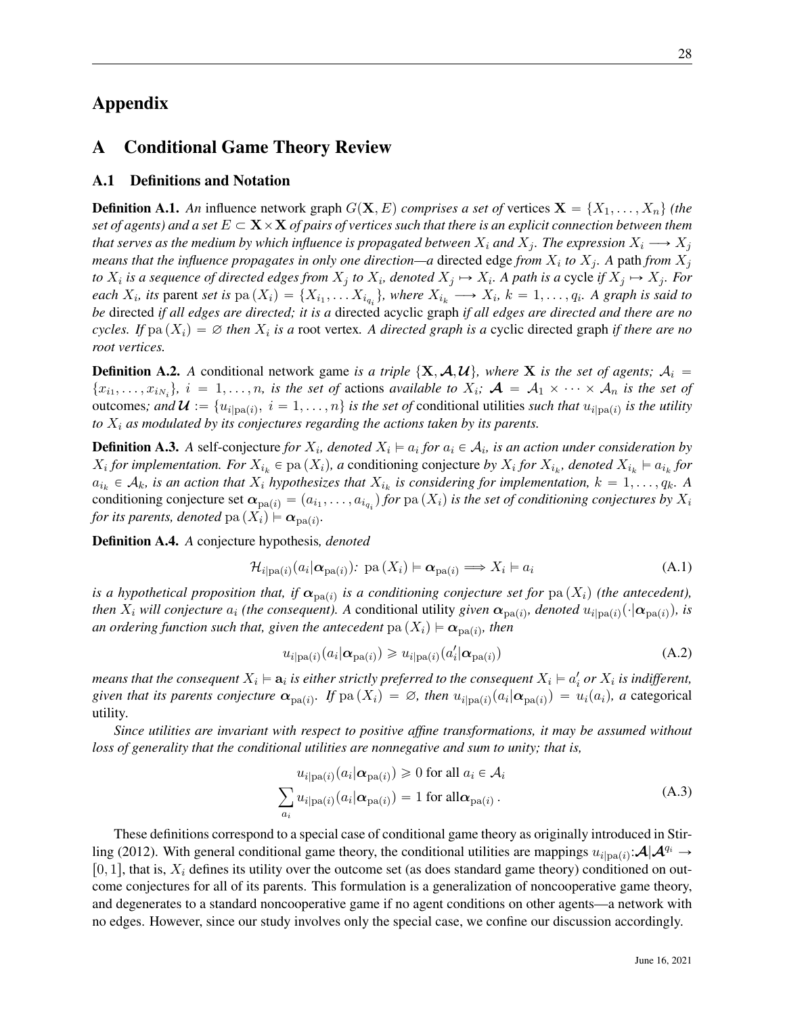## Appendix

### A Conditional Game Theory Review

#### A.1 Definitions and Notation

**Definition A.1.** An influence network graph  $G(\mathbf{X}, E)$  comprises a set of vertices  $\mathbf{X} = \{X_1, \ldots, X_n\}$  (the *set of agents) and a set*  $E \subset \mathbf{X} \times \mathbf{X}$  *of pairs of vertices such that there is an explicit connection between them that serves as the medium by which influence is propagated between*  $X_i$  *and*  $X_j$ *. The expression*  $X_i \longrightarrow X_j$ *means that the influence propagates in only one direction—a directed edge from*  $X_i$  *to*  $X_j$ *. A path from*  $X_j$ *to*  $X_i$  is a sequence of directed edges from  $X_j$  to  $X_i$ , denoted  $X_j \mapsto X_i$ . A path is a cycle if  $X_j \mapsto X_j$ . For *each*  $X_i$ , its parent *set is*  $pa(X_i) = \{X_{i_1}, \ldots X_{i_{q_i}}\}$ , where  $X_{i_k} \longrightarrow X_i$ ,  $k = 1, \ldots, q_i$ . A graph is said to *be* directed *if all edges are directed; it is a* directed acyclic graph *if all edges are directed and there are no*  $cycles.$  If  $pa(X_i) = \emptyset$  *then*  $X_i$  *is a* root vertex. A directed graph *is a* cyclic directed graph *if there are no root vertices.*

**Definition A.2.** A conditional network game is a triple  $\{X, A, U\}$ , where X is the set of agents;  $A_i =$  $\{x_{i1}, \ldots, x_{iN_i}\}, i = 1, \ldots, n$ , is the set of actions *available to*  $X_i$ ;  $\mathcal{A} = \mathcal{A}_1 \times \cdots \times \mathcal{A}_n$  is the set of outcomes; and  $\mathcal{U} := \{u_{i|pa(i)}, i = 1,\ldots,n\}$  is the set of conditional utilities such that  $u_{i|pa(i)}$  is the utility *to*  $X_i$  *as modulated by its conjectures regarding the actions taken by its parents.* 

**Definition A.3.** A self-conjecture for  $X_i$ , denoted  $X_i \models a_i$  for  $a_i \in A_i$ , is an action under consideration by  $X_i$  *for implementation. For*  $X_{i_k} \in$  pa  $(X_i)$ , *a* conditioning conjecture *by*  $X_i$  *for*  $X_{i_k}$ , *denoted*  $X_{i_k} \models a_{i_k}$  *for*  $a_{i_k} \in A_k$ , is an action that  $X_i$  hypothesizes that  $X_{i_k}$  is considering for implementation,  $k = 1, \ldots, q_k$ . A conditioning conjecture set  $\boldsymbol{\alpha}_{pa(i)} = (a_{i_1}, \dots, a_{i_{q_i}})$  *for*  $pa(X_i)$  *is the set of conditioning conjectures by*  $X_i$ *for its parents, denoted*  $\text{pa}\left(X_{i}\right) \vDash \boldsymbol{\alpha}_{\text{pa}(i)}.$ 

Definition A.4. *A* conjecture hypothesis*, denoted*

$$
\mathcal{H}_{i|pa(i)}(a_i|\boldsymbol{\alpha}_{pa(i)})\colon pa(X_i) \models \boldsymbol{\alpha}_{pa(i)} \Longrightarrow X_i \models a_i \tag{A.1}
$$

*is a hypothetical proposition that, if*  $\alpha_{pa(i)}$  *is a conditioning conjecture set for*  $pa(X_i)$  *(the antecedent), then*  $X_i$  *will conjecture*  $a_i$  *(the consequent).* A conditional utility *given*  $\alpha_{pa(i)}$ *, denoted*  $u_{i|pa(i)}(\cdot|\alpha_{pa(i)})$ *, is* an ordering function such that, given the antecedent  $\mathrm{pa}\left(X_{i}\right)\vDash\boldsymbol{\alpha}_{\mathrm{pa}(i)},$  then

$$
u_{i|pa(i)}(a_i|\alpha_{pa(i)}) \geq u_{i|pa(i)}(a_i'|\alpha_{pa(i)})
$$
\n(A.2)

means that the consequent  $X_i \models \mathbf{a}_i$  is either strictly preferred to the consequent  $X_i \models a'_i$  or  $X_i$  is indifferent, *given that its parents conjecture*  $\alpha_{pa(i)}$ . If  $pa(X_i) = \emptyset$ , then  $u_{i|pa(i)}(a_i|\alpha_{pa(i)}) = u_i(a_i)$ , a categorical utility*.*

*Since utilities are invariant with respect to positive affine transformations, it may be assumed without loss of generality that the conditional utilities are nonnegative and sum to unity; that is,*

$$
u_{i|pa(i)}(a_i|\alpha_{pa(i)}) \ge 0 \text{ for all } a_i \in \mathcal{A}_i
$$
  

$$
\sum_{a_i} u_{i|pa(i)}(a_i|\alpha_{pa(i)}) = 1 \text{ for all } \alpha_{pa(i)}.
$$
 (A.3)

These definitions correspond to a special case of conditional game theory as originally introduced in Stirling (2012). With general conditional game theory, the conditional utilities are mappings  $u_{i|pa(i)}: A | A^{q_i} \rightarrow$  $[0, 1]$ , that is,  $X_i$  defines its utility over the outcome set (as does standard game theory) conditioned on outcome conjectures for all of its parents. This formulation is a generalization of noncooperative game theory, and degenerates to a standard noncooperative game if no agent conditions on other agents—a network with no edges. However, since our study involves only the special case, we confine our discussion accordingly.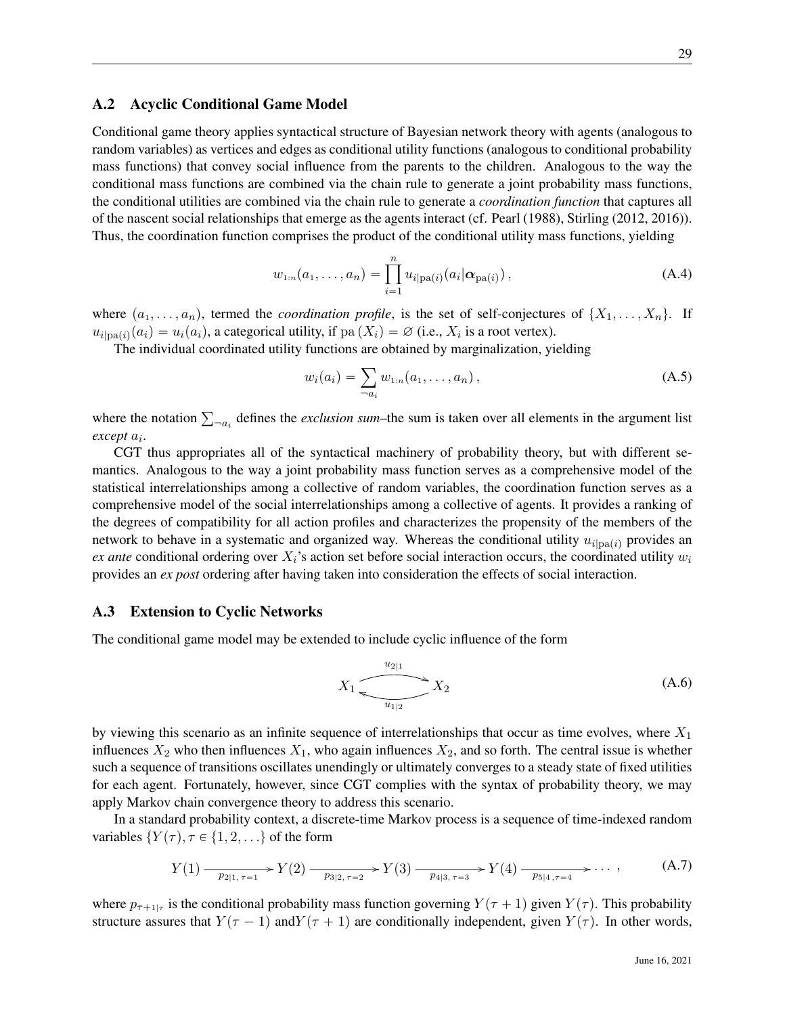#### A.2 Acyclic Conditional Game Model

Conditional game theory applies syntactical structure of Bayesian network theory with agents (analogous to random variables) as vertices and edges as conditional utility functions (analogous to conditional probability mass functions) that convey social influence from the parents to the children. Analogous to the way the conditional mass functions are combined via the chain rule to generate a joint probability mass functions, the conditional utilities are combined via the chain rule to generate a *coordination function* that captures all of the nascent social relationships that emerge as the agents interact (cf. Pearl (1988), Stirling (2012, 2016)). Thus, the coordination function comprises the product of the conditional utility mass functions, yielding

$$
w_{1:n}(a_1,\ldots,a_n) = \prod_{i=1}^n u_{i|pa(i)}(a_i|\boldsymbol{\alpha}_{pa(i)}),
$$
 (A.4)

where  $(a_1, \ldots, a_n)$ , termed the *coordination profile*, is the set of self-conjectures of  $\{X_1, \ldots, X_n\}$ . If  $u_{i|pa(i)}(a_i) = u_i(a_i)$ , a categorical utility, if  $pa(X_i) = \emptyset$  (i.e.,  $X_i$  is a root vertex).

The individual coordinated utility functions are obtained by marginalization, yielding

$$
w_i(a_i) = \sum_{-a_i} w_{1:n}(a_1, \dots, a_n),
$$
 (A.5)

where the notation  $\sum_{n=1}^{\infty}$  defines the *exclusion sum*–the sum is taken over all elements in the argument list *except* a<sup>i</sup> .

CGT thus appropriates all of the syntactical machinery of probability theory, but with different semantics. Analogous to the way a joint probability mass function serves as a comprehensive model of the statistical interrelationships among a collective of random variables, the coordination function serves as a comprehensive model of the social interrelationships among a collective of agents. It provides a ranking of the degrees of compatibility for all action profiles and characterizes the propensity of the members of the network to behave in a systematic and organized way. Whereas the conditional utility  $u_{i|pa(i)}$  provides an *ex ante* conditional ordering over  $X_i$ 's action set before social interaction occurs, the coordinated utility  $w_i$ provides an *ex post* ordering after having taken into consideration the effects of social interaction.

#### A.3 Extension to Cyclic Networks

The conditional game model may be extended to include cyclic influence of the form

$$
X_1 \xrightarrow{u_{2|1}} X_2 \tag{A.6}
$$

by viewing this scenario as an infinite sequence of interrelationships that occur as time evolves, where  $X_1$ influences  $X_2$  who then influences  $X_1$ , who again influences  $X_2$ , and so forth. The central issue is whether such a sequence of transitions oscillates unendingly or ultimately converges to a steady state of fixed utilities for each agent. Fortunately, however, since CGT complies with the syntax of probability theory, we may apply Markov chain convergence theory to address this scenario.

In a standard probability context, a discrete-time Markov process is a sequence of time-indexed random variables  $\{Y(\tau), \tau \in \{1, 2, ...\}$  of the form

$$
Y(1) \xrightarrow[p_{2|1,\tau=1}]{p_{2|1,\tau=1}} Y(2) \xrightarrow[p_{3|2,\tau=2}]{p_{4|3,\tau=3}} Y(3) \xrightarrow[p_{4|3,\tau=3}]{p_{4|3,\tau=3}} Y(4) \xrightarrow[p_{5|4,\tau=4}]{p_{5|4,\tau=4}} \cdots,
$$
 (A.7)

where  $p_{\tau+1|\tau}$  is the conditional probability mass function governing  $Y(\tau + 1)$  given  $Y(\tau)$ . This probability structure assures that  $Y(\tau - 1)$  and  $Y(\tau + 1)$  are conditionally independent, given  $Y(\tau)$ . In other words,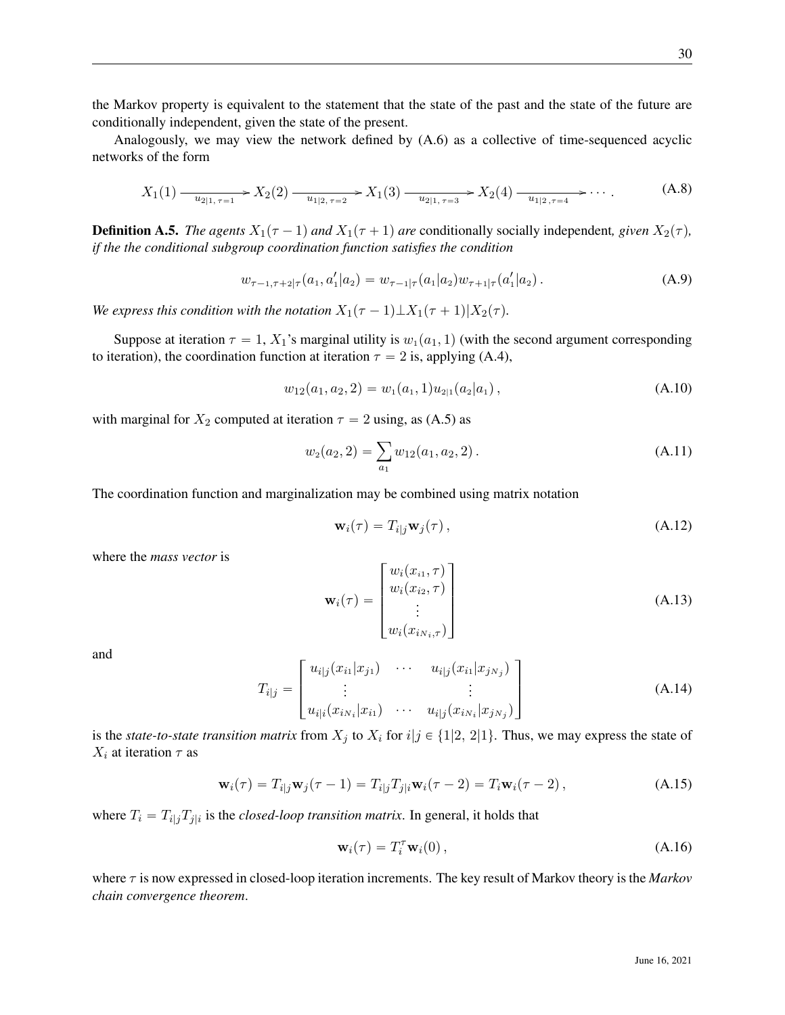30

the Markov property is equivalent to the statement that the state of the past and the state of the future are conditionally independent, given the state of the present.

Analogously, we may view the network defined by (A.6) as a collective of time-sequenced acyclic networks of the form

$$
X_1(1) \xrightarrow[u_{2|1,\tau=1}]{u_{2|1,\tau=1}} X_2(2) \xrightarrow[u_{1|2,\tau=2}]{u_{1|2,\tau=2}} X_1(3) \xrightarrow[u_{2|1,\tau=3}]{u_{2|1,\tau=3}} X_2(4) \xrightarrow[u_{1|2,\tau=4}]{u_{1|2,\tau=4}} \cdots
$$
 (A.8)

**Definition A.5.** *The agents*  $X_1(\tau - 1)$  *and*  $X_1(\tau + 1)$  *are* conditionally socially independent, given  $X_2(\tau)$ , *if the the conditional subgroup coordination function satisfies the condition*

$$
w_{\tau-1,\tau+2|\tau}(a_1,a'_1|a_2) = w_{\tau-1|\tau}(a_1|a_2)w_{\tau+1|\tau}(a'_1|a_2).
$$
 (A.9)

*We express this condition with the notation*  $X_1(\tau - 1) \perp X_1(\tau + 1) | X_2(\tau)$ .

Suppose at iteration  $\tau = 1$ ,  $X_1$ 's marginal utility is  $w_1(a_1, 1)$  (with the second argument corresponding to iteration), the coordination function at iteration  $\tau = 2$  is, applying (A.4),

$$
w_{12}(a_1, a_2, 2) = w_1(a_1, 1)u_{2|1}(a_2|a_1), \qquad (A.10)
$$

with marginal for  $X_2$  computed at iteration  $\tau = 2$  using, as (A.5) as

$$
w_2(a_2, 2) = \sum_{a_1} w_{12}(a_1, a_2, 2).
$$
 (A.11)

The coordination function and marginalization may be combined using matrix notation

$$
\mathbf{w}_i(\tau) = T_{i|j} \mathbf{w}_j(\tau) , \qquad (A.12)
$$

where the *mass vector* is

$$
\mathbf{w}_{i}(\tau) = \begin{bmatrix} w_{i}(x_{i1}, \tau) \\ w_{i}(x_{i2}, \tau) \\ \vdots \\ w_{i}(x_{iN_{i}, \tau}) \end{bmatrix}
$$
(A.13)

and

$$
T_{i|j} = \begin{bmatrix} u_{i|j}(x_{i1}|x_{j1}) & \cdots & u_{i|j}(x_{i1}|x_{jN_j}) \\ \vdots & & \vdots \\ u_{i|i}(x_{iN_i}|x_{i1}) & \cdots & u_{i|j}(x_{iN_i}|x_{jN_j}) \end{bmatrix}
$$
(A.14)

is the *state-to-state transition matrix* from  $X_j$  to  $X_i$  for  $i|j \in \{1|2, 2|1\}$ . Thus, we may express the state of  $X_i$  at iteration  $\tau$  as

»

$$
\mathbf{w}_i(\tau) = T_{i|j}\mathbf{w}_j(\tau - 1) = T_{i|j}T_{j|i}\mathbf{w}_i(\tau - 2) = T_i\mathbf{w}_i(\tau - 2), \qquad (A.15)
$$

where  $T_i = T_{i|j}T_{j|i}$  is the *closed-loop transition matrix*. In general, it holds that

$$
\mathbf{w}_i(\tau) = T_i^{\tau} \mathbf{w}_i(0), \qquad (A.16)
$$

where  $\tau$  is now expressed in closed-loop iteration increments. The key result of Markov theory is the *Markov chain convergence theorem*.